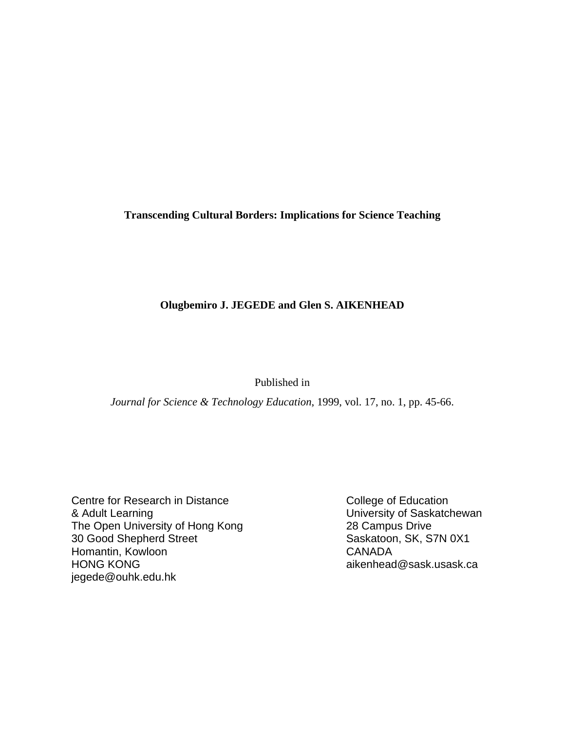**Transcending Cultural Borders: Implications for Science Teaching** 

# **Olugbemiro J. JEGEDE and Glen S. AIKENHEAD**

Published in

*Journal for Science & Technology Education*, 1999, vol. 17, no. 1, pp. 45-66.

Centre for Research in Distance & Adult Learning The Open University of Hong Kong 30 Good Shepherd Street Homantin, Kowloon HONG KONG jegede@ouhk.edu.hk

College of Education University of Saskatchewan 28 Campus Drive Saskatoon, SK, S7N 0X1 **CANADA** aikenhead@sask.usask.ca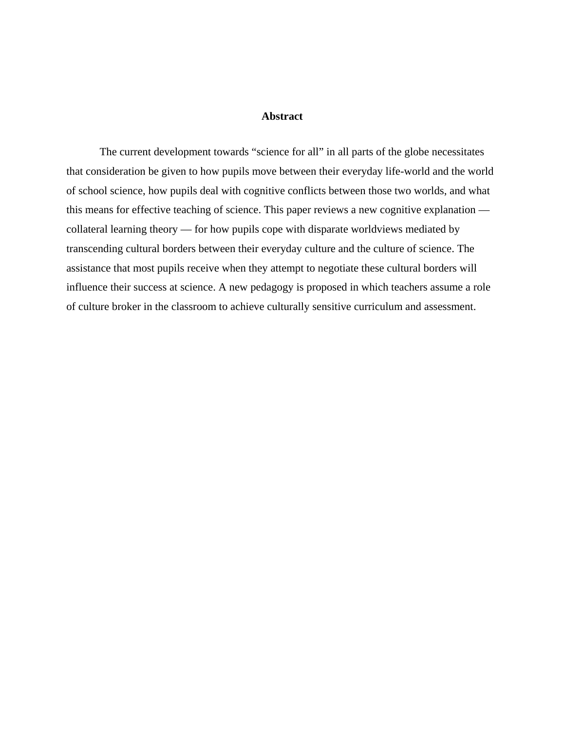## **Abstract**

The current development towards "science for all" in all parts of the globe necessitates that consideration be given to how pupils move between their everyday life-world and the world of school science, how pupils deal with cognitive conflicts between those two worlds, and what this means for effective teaching of science. This paper reviews a new cognitive explanation collateral learning theory — for how pupils cope with disparate worldviews mediated by transcending cultural borders between their everyday culture and the culture of science. The assistance that most pupils receive when they attempt to negotiate these cultural borders will influence their success at science. A new pedagogy is proposed in which teachers assume a role of culture broker in the classroom to achieve culturally sensitive curriculum and assessment.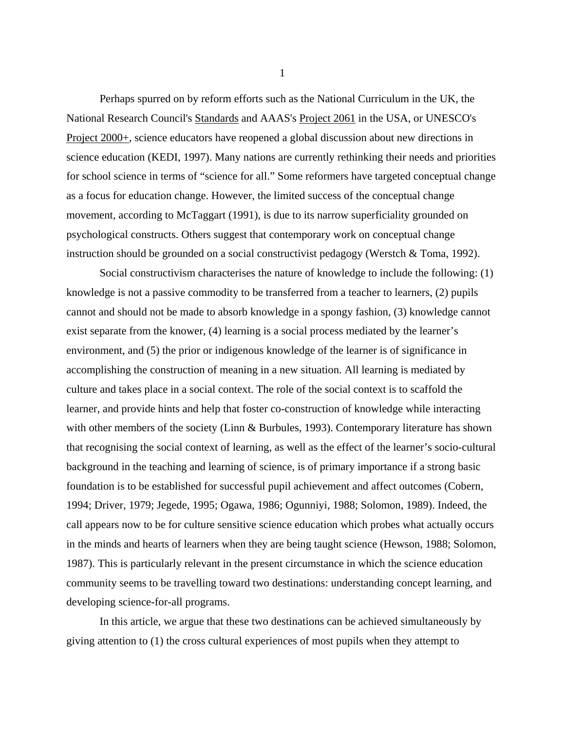Perhaps spurred on by reform efforts such as the National Curriculum in the UK, the National Research Council's Standards and AAAS's Project 2061 in the USA, or UNESCO's Project 2000+, science educators have reopened a global discussion about new directions in science education (KEDI, 1997). Many nations are currently rethinking their needs and priorities for school science in terms of "science for all." Some reformers have targeted conceptual change as a focus for education change. However, the limited success of the conceptual change movement, according to McTaggart (1991), is due to its narrow superficiality grounded on psychological constructs. Others suggest that contemporary work on conceptual change instruction should be grounded on a social constructivist pedagogy (Werstch & Toma, 1992).

 Social constructivism characterises the nature of knowledge to include the following: (1) knowledge is not a passive commodity to be transferred from a teacher to learners, (2) pupils cannot and should not be made to absorb knowledge in a spongy fashion, (3) knowledge cannot exist separate from the knower, (4) learning is a social process mediated by the learner's environment, and (5) the prior or indigenous knowledge of the learner is of significance in accomplishing the construction of meaning in a new situation. All learning is mediated by culture and takes place in a social context. The role of the social context is to scaffold the learner, and provide hints and help that foster co-construction of knowledge while interacting with other members of the society (Linn & Burbules, 1993). Contemporary literature has shown that recognising the social context of learning, as well as the effect of the learner's socio-cultural background in the teaching and learning of science, is of primary importance if a strong basic foundation is to be established for successful pupil achievement and affect outcomes (Cobern, 1994; Driver, 1979; Jegede, 1995; Ogawa, 1986; Ogunniyi, 1988; Solomon, 1989). Indeed, the call appears now to be for culture sensitive science education which probes what actually occurs in the minds and hearts of learners when they are being taught science (Hewson, 1988; Solomon, 1987). This is particularly relevant in the present circumstance in which the science education community seems to be travelling toward two destinations: understanding concept learning, and developing science-for-all programs.

 In this article, we argue that these two destinations can be achieved simultaneously by giving attention to (1) the cross cultural experiences of most pupils when they attempt to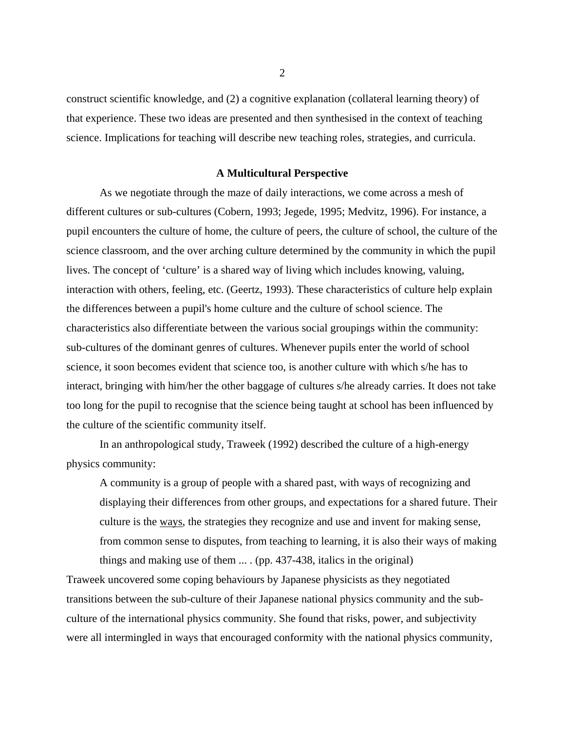construct scientific knowledge, and (2) a cognitive explanation (collateral learning theory) of that experience. These two ideas are presented and then synthesised in the context of teaching science. Implications for teaching will describe new teaching roles, strategies, and curricula.

#### **A Multicultural Perspective**

 As we negotiate through the maze of daily interactions, we come across a mesh of different cultures or sub-cultures (Cobern, 1993; Jegede, 1995; Medvitz, 1996). For instance, a pupil encounters the culture of home, the culture of peers, the culture of school, the culture of the science classroom, and the over arching culture determined by the community in which the pupil lives. The concept of 'culture' is a shared way of living which includes knowing, valuing, interaction with others, feeling, etc. (Geertz, 1993). These characteristics of culture help explain the differences between a pupil's home culture and the culture of school science. The characteristics also differentiate between the various social groupings within the community: sub-cultures of the dominant genres of cultures. Whenever pupils enter the world of school science, it soon becomes evident that science too, is another culture with which s/he has to interact, bringing with him/her the other baggage of cultures s/he already carries. It does not take too long for the pupil to recognise that the science being taught at school has been influenced by the culture of the scientific community itself.

In an anthropological study, Traweek (1992) described the culture of a high-energy physics community:

A community is a group of people with a shared past, with ways of recognizing and displaying their differences from other groups, and expectations for a shared future. Their culture is the ways, the strategies they recognize and use and invent for making sense, from common sense to disputes, from teaching to learning, it is also their ways of making things and making use of them ... . (pp. 437-438, italics in the original)

Traweek uncovered some coping behaviours by Japanese physicists as they negotiated transitions between the sub-culture of their Japanese national physics community and the subculture of the international physics community. She found that risks, power, and subjectivity were all intermingled in ways that encouraged conformity with the national physics community,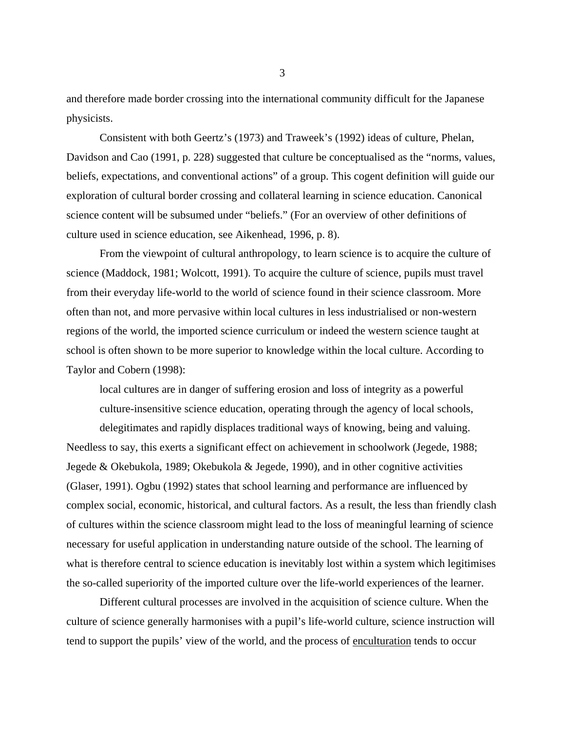and therefore made border crossing into the international community difficult for the Japanese physicists.

Consistent with both Geertz's (1973) and Traweek's (1992) ideas of culture, Phelan, Davidson and Cao (1991, p. 228) suggested that culture be conceptualised as the "norms, values, beliefs, expectations, and conventional actions" of a group. This cogent definition will guide our exploration of cultural border crossing and collateral learning in science education. Canonical science content will be subsumed under "beliefs." (For an overview of other definitions of culture used in science education, see Aikenhead, 1996, p. 8).

From the viewpoint of cultural anthropology, to learn science is to acquire the culture of science (Maddock, 1981; Wolcott, 1991). To acquire the culture of science, pupils must travel from their everyday life-world to the world of science found in their science classroom. More often than not, and more pervasive within local cultures in less industrialised or non-western regions of the world, the imported science curriculum or indeed the western science taught at school is often shown to be more superior to knowledge within the local culture. According to Taylor and Cobern (1998):

local cultures are in danger of suffering erosion and loss of integrity as a powerful culture-insensitive science education, operating through the agency of local schools,

delegitimates and rapidly displaces traditional ways of knowing, being and valuing. Needless to say, this exerts a significant effect on achievement in schoolwork (Jegede, 1988; Jegede & Okebukola, 1989; Okebukola & Jegede, 1990), and in other cognitive activities (Glaser, 1991). Ogbu (1992) states that school learning and performance are influenced by complex social, economic, historical, and cultural factors. As a result, the less than friendly clash of cultures within the science classroom might lead to the loss of meaningful learning of science necessary for useful application in understanding nature outside of the school. The learning of what is therefore central to science education is inevitably lost within a system which legitimises the so-called superiority of the imported culture over the life-world experiences of the learner.

 Different cultural processes are involved in the acquisition of science culture. When the culture of science generally harmonises with a pupil's life-world culture, science instruction will tend to support the pupils' view of the world, and the process of enculturation tends to occur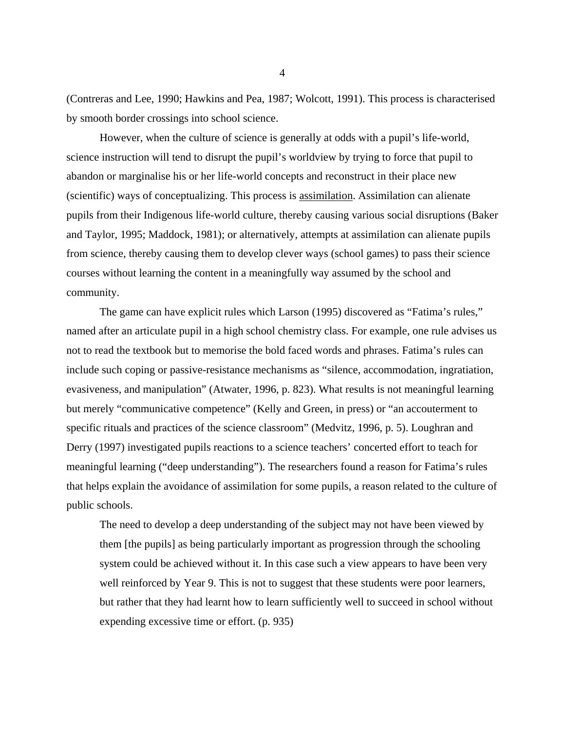(Contreras and Lee, 1990; Hawkins and Pea, 1987; Wolcott, 1991). This process is characterised by smooth border crossings into school science.

 However, when the culture of science is generally at odds with a pupil's life-world, science instruction will tend to disrupt the pupil's worldview by trying to force that pupil to abandon or marginalise his or her life-world concepts and reconstruct in their place new (scientific) ways of conceptualizing. This process is assimilation. Assimilation can alienate pupils from their Indigenous life-world culture, thereby causing various social disruptions (Baker and Taylor, 1995; Maddock, 1981); or alternatively, attempts at assimilation can alienate pupils from science, thereby causing them to develop clever ways (school games) to pass their science courses without learning the content in a meaningfully way assumed by the school and community.

 The game can have explicit rules which Larson (1995) discovered as "Fatima's rules," named after an articulate pupil in a high school chemistry class. For example, one rule advises us not to read the textbook but to memorise the bold faced words and phrases. Fatima's rules can include such coping or passive-resistance mechanisms as "silence, accommodation, ingratiation, evasiveness, and manipulation" (Atwater, 1996, p. 823). What results is not meaningful learning but merely "communicative competence" (Kelly and Green, in press) or "an accouterment to specific rituals and practices of the science classroom" (Medvitz, 1996, p. 5). Loughran and Derry (1997) investigated pupils reactions to a science teachers' concerted effort to teach for meaningful learning ("deep understanding"). The researchers found a reason for Fatima's rules that helps explain the avoidance of assimilation for some pupils, a reason related to the culture of public schools.

The need to develop a deep understanding of the subject may not have been viewed by them [the pupils] as being particularly important as progression through the schooling system could be achieved without it. In this case such a view appears to have been very well reinforced by Year 9. This is not to suggest that these students were poor learners, but rather that they had learnt how to learn sufficiently well to succeed in school without expending excessive time or effort. (p. 935)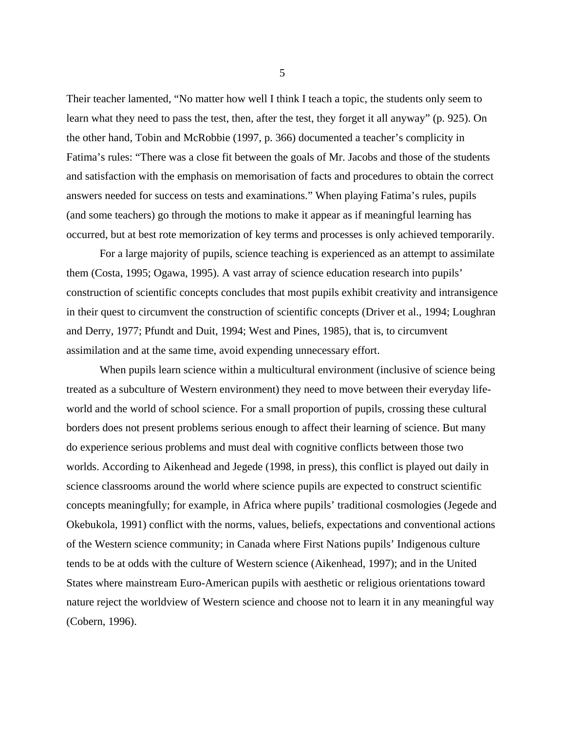Their teacher lamented, "No matter how well I think I teach a topic, the students only seem to learn what they need to pass the test, then, after the test, they forget it all anyway" (p. 925). On the other hand, Tobin and McRobbie (1997, p. 366) documented a teacher's complicity in Fatima's rules: "There was a close fit between the goals of Mr. Jacobs and those of the students and satisfaction with the emphasis on memorisation of facts and procedures to obtain the correct answers needed for success on tests and examinations." When playing Fatima's rules, pupils (and some teachers) go through the motions to make it appear as if meaningful learning has occurred, but at best rote memorization of key terms and processes is only achieved temporarily.

 For a large majority of pupils, science teaching is experienced as an attempt to assimilate them (Costa, 1995; Ogawa, 1995). A vast array of science education research into pupils' construction of scientific concepts concludes that most pupils exhibit creativity and intransigence in their quest to circumvent the construction of scientific concepts (Driver et al., 1994; Loughran and Derry, 1977; Pfundt and Duit, 1994; West and Pines, 1985), that is, to circumvent assimilation and at the same time, avoid expending unnecessary effort.

 When pupils learn science within a multicultural environment (inclusive of science being treated as a subculture of Western environment) they need to move between their everyday lifeworld and the world of school science. For a small proportion of pupils, crossing these cultural borders does not present problems serious enough to affect their learning of science. But many do experience serious problems and must deal with cognitive conflicts between those two worlds. According to Aikenhead and Jegede (1998, in press), this conflict is played out daily in science classrooms around the world where science pupils are expected to construct scientific concepts meaningfully; for example, in Africa where pupils' traditional cosmologies (Jegede and Okebukola, 1991) conflict with the norms, values, beliefs, expectations and conventional actions of the Western science community; in Canada where First Nations pupils' Indigenous culture tends to be at odds with the culture of Western science (Aikenhead, 1997); and in the United States where mainstream Euro-American pupils with aesthetic or religious orientations toward nature reject the worldview of Western science and choose not to learn it in any meaningful way (Cobern, 1996).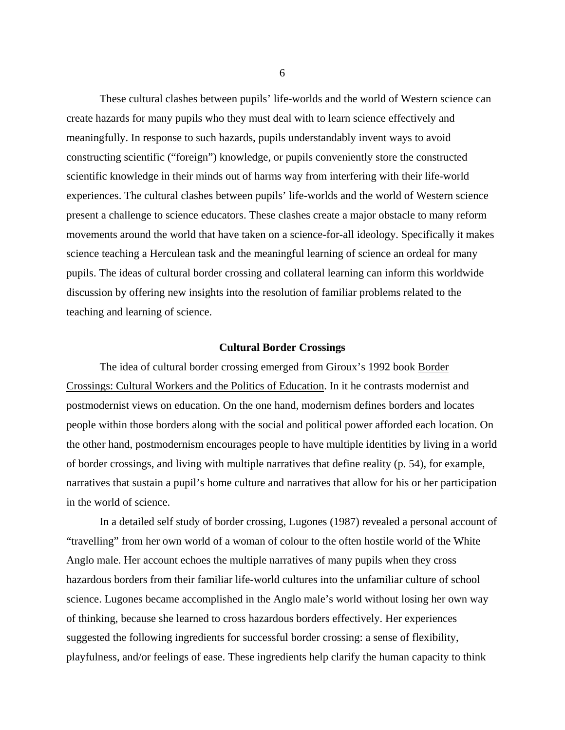These cultural clashes between pupils' life-worlds and the world of Western science can create hazards for many pupils who they must deal with to learn science effectively and meaningfully. In response to such hazards, pupils understandably invent ways to avoid constructing scientific ("foreign") knowledge, or pupils conveniently store the constructed scientific knowledge in their minds out of harms way from interfering with their life-world experiences. The cultural clashes between pupils' life-worlds and the world of Western science present a challenge to science educators. These clashes create a major obstacle to many reform movements around the world that have taken on a science-for-all ideology. Specifically it makes science teaching a Herculean task and the meaningful learning of science an ordeal for many pupils. The ideas of cultural border crossing and collateral learning can inform this worldwide discussion by offering new insights into the resolution of familiar problems related to the teaching and learning of science.

#### **Cultural Border Crossings**

 The idea of cultural border crossing emerged from Giroux's 1992 book Border Crossings: Cultural Workers and the Politics of Education. In it he contrasts modernist and postmodernist views on education. On the one hand, modernism defines borders and locates people within those borders along with the social and political power afforded each location. On the other hand, postmodernism encourages people to have multiple identities by living in a world of border crossings, and living with multiple narratives that define reality (p. 54), for example, narratives that sustain a pupil's home culture and narratives that allow for his or her participation in the world of science.

 In a detailed self study of border crossing, Lugones (1987) revealed a personal account of "travelling" from her own world of a woman of colour to the often hostile world of the White Anglo male. Her account echoes the multiple narratives of many pupils when they cross hazardous borders from their familiar life-world cultures into the unfamiliar culture of school science. Lugones became accomplished in the Anglo male's world without losing her own way of thinking, because she learned to cross hazardous borders effectively. Her experiences suggested the following ingredients for successful border crossing: a sense of flexibility, playfulness, and/or feelings of ease. These ingredients help clarify the human capacity to think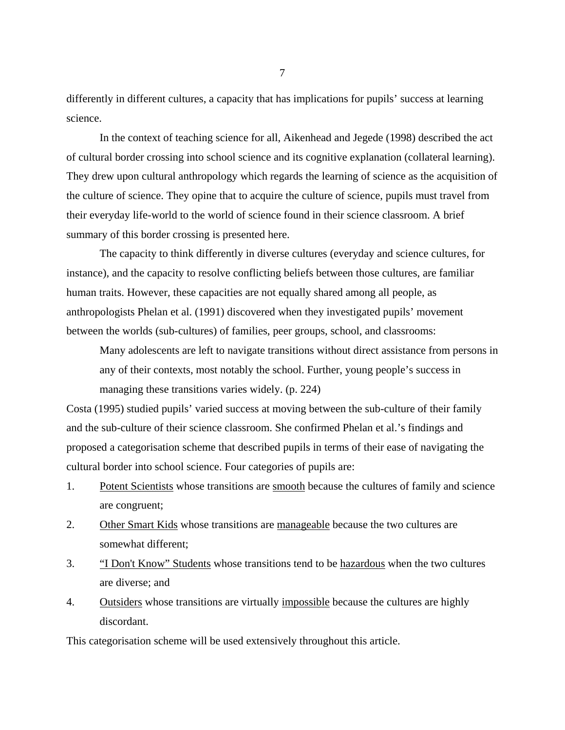differently in different cultures, a capacity that has implications for pupils' success at learning science.

 In the context of teaching science for all, Aikenhead and Jegede (1998) described the act of cultural border crossing into school science and its cognitive explanation (collateral learning). They drew upon cultural anthropology which regards the learning of science as the acquisition of the culture of science. They opine that to acquire the culture of science, pupils must travel from their everyday life-world to the world of science found in their science classroom. A brief summary of this border crossing is presented here.

The capacity to think differently in diverse cultures (everyday and science cultures, for instance), and the capacity to resolve conflicting beliefs between those cultures, are familiar human traits. However, these capacities are not equally shared among all people, as anthropologists Phelan et al. (1991) discovered when they investigated pupils' movement between the worlds (sub-cultures) of families, peer groups, school, and classrooms:

Many adolescents are left to navigate transitions without direct assistance from persons in any of their contexts, most notably the school. Further, young people's success in managing these transitions varies widely. (p. 224)

Costa (1995) studied pupils' varied success at moving between the sub-culture of their family and the sub-culture of their science classroom. She confirmed Phelan et al.'s findings and proposed a categorisation scheme that described pupils in terms of their ease of navigating the cultural border into school science. Four categories of pupils are:

- 1. Potent Scientists whose transitions are smooth because the cultures of family and science are congruent;
- 2. Other Smart Kids whose transitions are manageable because the two cultures are somewhat different;
- 3. "I Don't Know" Students whose transitions tend to be hazardous when the two cultures are diverse; and
- 4. Outsiders whose transitions are virtually impossible because the cultures are highly discordant.

This categorisation scheme will be used extensively throughout this article.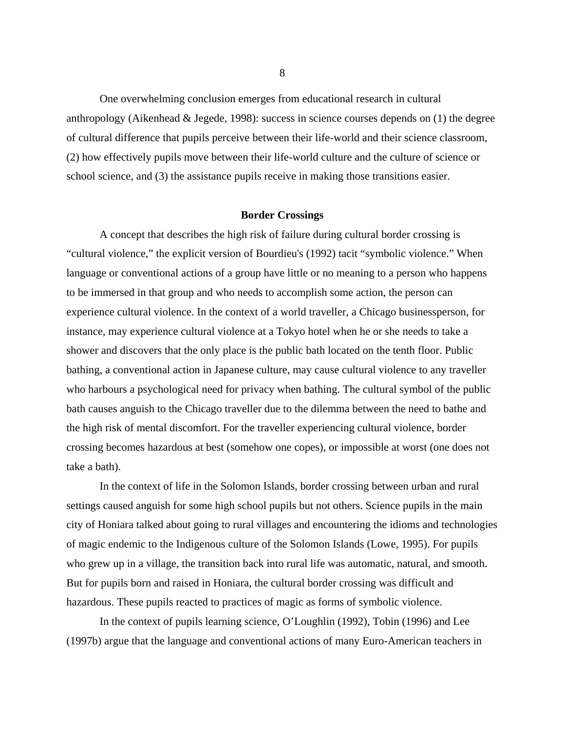One overwhelming conclusion emerges from educational research in cultural anthropology (Aikenhead & Jegede, 1998): success in science courses depends on (1) the degree of cultural difference that pupils perceive between their life-world and their science classroom, (2) how effectively pupils move between their life-world culture and the culture of science or school science, and (3) the assistance pupils receive in making those transitions easier.

#### **Border Crossings**

 A concept that describes the high risk of failure during cultural border crossing is "cultural violence," the explicit version of Bourdieu's (1992) tacit "symbolic violence." When language or conventional actions of a group have little or no meaning to a person who happens to be immersed in that group and who needs to accomplish some action, the person can experience cultural violence. In the context of a world traveller, a Chicago businessperson, for instance, may experience cultural violence at a Tokyo hotel when he or she needs to take a shower and discovers that the only place is the public bath located on the tenth floor. Public bathing, a conventional action in Japanese culture, may cause cultural violence to any traveller who harbours a psychological need for privacy when bathing. The cultural symbol of the public bath causes anguish to the Chicago traveller due to the dilemma between the need to bathe and the high risk of mental discomfort. For the traveller experiencing cultural violence, border crossing becomes hazardous at best (somehow one copes), or impossible at worst (one does not take a bath).

 In the context of life in the Solomon Islands, border crossing between urban and rural settings caused anguish for some high school pupils but not others. Science pupils in the main city of Honiara talked about going to rural villages and encountering the idioms and technologies of magic endemic to the Indigenous culture of the Solomon Islands (Lowe, 1995). For pupils who grew up in a village, the transition back into rural life was automatic, natural, and smooth. But for pupils born and raised in Honiara, the cultural border crossing was difficult and hazardous. These pupils reacted to practices of magic as forms of symbolic violence.

 In the context of pupils learning science, O'Loughlin (1992), Tobin (1996) and Lee (1997b) argue that the language and conventional actions of many Euro-American teachers in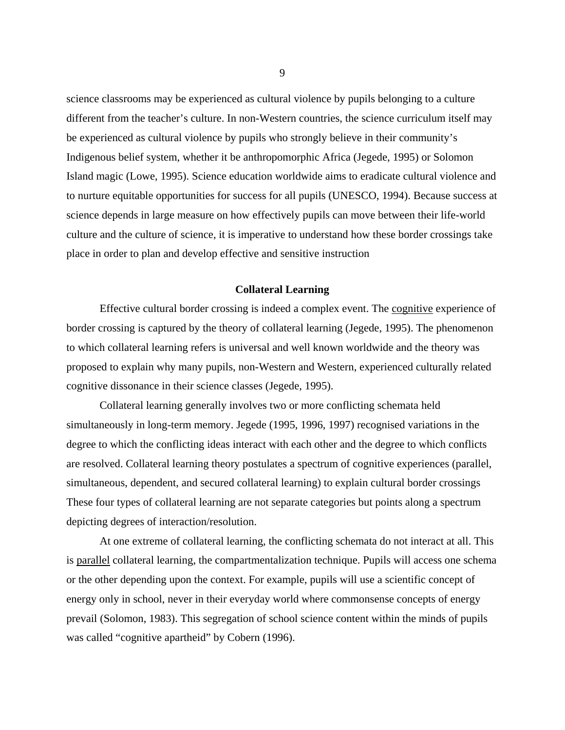science classrooms may be experienced as cultural violence by pupils belonging to a culture different from the teacher's culture. In non-Western countries, the science curriculum itself may be experienced as cultural violence by pupils who strongly believe in their community's Indigenous belief system, whether it be anthropomorphic Africa (Jegede, 1995) or Solomon Island magic (Lowe, 1995). Science education worldwide aims to eradicate cultural violence and to nurture equitable opportunities for success for all pupils (UNESCO, 1994). Because success at science depends in large measure on how effectively pupils can move between their life-world culture and the culture of science, it is imperative to understand how these border crossings take place in order to plan and develop effective and sensitive instruction

## **Collateral Learning**

Effective cultural border crossing is indeed a complex event. The cognitive experience of border crossing is captured by the theory of collateral learning (Jegede, 1995). The phenomenon to which collateral learning refers is universal and well known worldwide and the theory was proposed to explain why many pupils, non-Western and Western, experienced culturally related cognitive dissonance in their science classes (Jegede, 1995).

 Collateral learning generally involves two or more conflicting schemata held simultaneously in long-term memory. Jegede (1995, 1996, 1997) recognised variations in the degree to which the conflicting ideas interact with each other and the degree to which conflicts are resolved. Collateral learning theory postulates a spectrum of cognitive experiences (parallel, simultaneous, dependent, and secured collateral learning) to explain cultural border crossings These four types of collateral learning are not separate categories but points along a spectrum depicting degrees of interaction/resolution.

 At one extreme of collateral learning, the conflicting schemata do not interact at all. This is parallel collateral learning, the compartmentalization technique. Pupils will access one schema or the other depending upon the context. For example, pupils will use a scientific concept of energy only in school, never in their everyday world where commonsense concepts of energy prevail (Solomon, 1983). This segregation of school science content within the minds of pupils was called "cognitive apartheid" by Cobern (1996).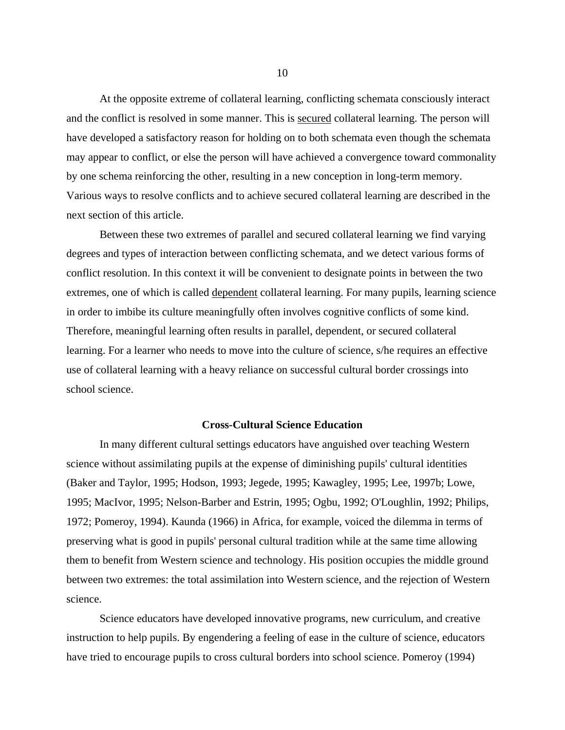At the opposite extreme of collateral learning, conflicting schemata consciously interact and the conflict is resolved in some manner. This is secured collateral learning. The person will have developed a satisfactory reason for holding on to both schemata even though the schemata may appear to conflict, or else the person will have achieved a convergence toward commonality by one schema reinforcing the other, resulting in a new conception in long-term memory. Various ways to resolve conflicts and to achieve secured collateral learning are described in the next section of this article.

 Between these two extremes of parallel and secured collateral learning we find varying degrees and types of interaction between conflicting schemata, and we detect various forms of conflict resolution. In this context it will be convenient to designate points in between the two extremes, one of which is called dependent collateral learning. For many pupils, learning science in order to imbibe its culture meaningfully often involves cognitive conflicts of some kind. Therefore, meaningful learning often results in parallel, dependent, or secured collateral learning. For a learner who needs to move into the culture of science, s/he requires an effective use of collateral learning with a heavy reliance on successful cultural border crossings into school science.

## **Cross-Cultural Science Education**

In many different cultural settings educators have anguished over teaching Western science without assimilating pupils at the expense of diminishing pupils' cultural identities (Baker and Taylor, 1995; Hodson, 1993; Jegede, 1995; Kawagley, 1995; Lee, 1997b; Lowe, 1995; MacIvor, 1995; Nelson-Barber and Estrin, 1995; Ogbu, 1992; O'Loughlin, 1992; Philips, 1972; Pomeroy, 1994). Kaunda (1966) in Africa, for example, voiced the dilemma in terms of preserving what is good in pupils' personal cultural tradition while at the same time allowing them to benefit from Western science and technology. His position occupies the middle ground between two extremes: the total assimilation into Western science, and the rejection of Western science.

 Science educators have developed innovative programs, new curriculum, and creative instruction to help pupils. By engendering a feeling of ease in the culture of science, educators have tried to encourage pupils to cross cultural borders into school science. Pomeroy (1994)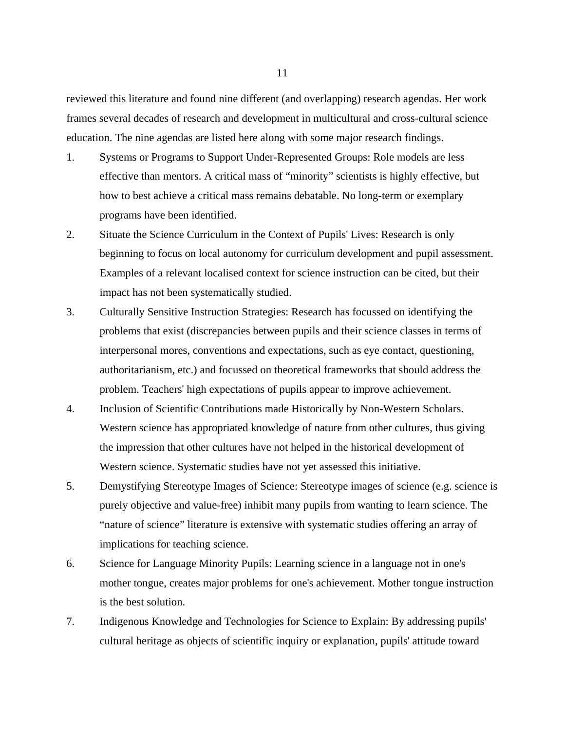reviewed this literature and found nine different (and overlapping) research agendas. Her work frames several decades of research and development in multicultural and cross-cultural science education. The nine agendas are listed here along with some major research findings.

- 1. Systems or Programs to Support Under-Represented Groups: Role models are less effective than mentors. A critical mass of "minority" scientists is highly effective, but how to best achieve a critical mass remains debatable. No long-term or exemplary programs have been identified.
- 2. Situate the Science Curriculum in the Context of Pupils' Lives: Research is only beginning to focus on local autonomy for curriculum development and pupil assessment. Examples of a relevant localised context for science instruction can be cited, but their impact has not been systematically studied.
- 3. Culturally Sensitive Instruction Strategies: Research has focussed on identifying the problems that exist (discrepancies between pupils and their science classes in terms of interpersonal mores, conventions and expectations, such as eye contact, questioning, authoritarianism, etc.) and focussed on theoretical frameworks that should address the problem. Teachers' high expectations of pupils appear to improve achievement.
- 4. Inclusion of Scientific Contributions made Historically by Non-Western Scholars. Western science has appropriated knowledge of nature from other cultures, thus giving the impression that other cultures have not helped in the historical development of Western science. Systematic studies have not yet assessed this initiative.
- 5. Demystifying Stereotype Images of Science: Stereotype images of science (e.g. science is purely objective and value-free) inhibit many pupils from wanting to learn science. The "nature of science" literature is extensive with systematic studies offering an array of implications for teaching science.
- 6. Science for Language Minority Pupils: Learning science in a language not in one's mother tongue, creates major problems for one's achievement. Mother tongue instruction is the best solution.
- 7. Indigenous Knowledge and Technologies for Science to Explain: By addressing pupils' cultural heritage as objects of scientific inquiry or explanation, pupils' attitude toward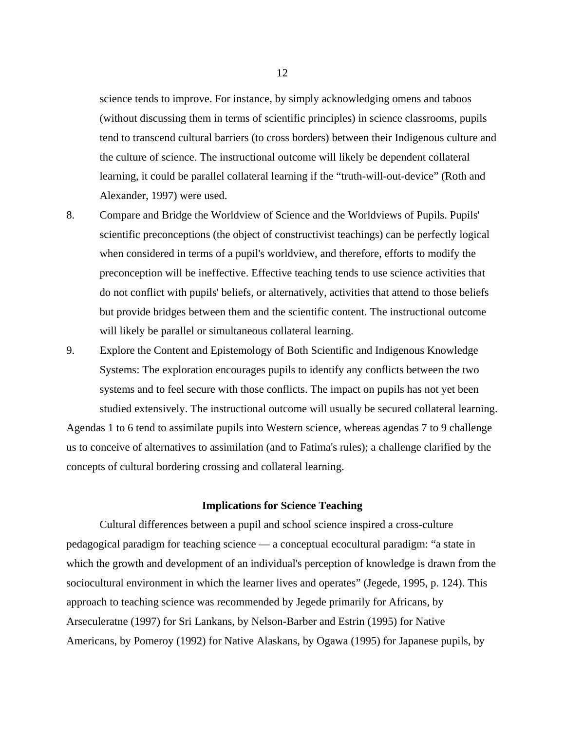science tends to improve. For instance, by simply acknowledging omens and taboos (without discussing them in terms of scientific principles) in science classrooms, pupils tend to transcend cultural barriers (to cross borders) between their Indigenous culture and the culture of science. The instructional outcome will likely be dependent collateral learning, it could be parallel collateral learning if the "truth-will-out-device" (Roth and Alexander, 1997) were used.

- 8. Compare and Bridge the Worldview of Science and the Worldviews of Pupils. Pupils' scientific preconceptions (the object of constructivist teachings) can be perfectly logical when considered in terms of a pupil's worldview, and therefore, efforts to modify the preconception will be ineffective. Effective teaching tends to use science activities that do not conflict with pupils' beliefs, or alternatively, activities that attend to those beliefs but provide bridges between them and the scientific content. The instructional outcome will likely be parallel or simultaneous collateral learning.
- 9. Explore the Content and Epistemology of Both Scientific and Indigenous Knowledge Systems: The exploration encourages pupils to identify any conflicts between the two systems and to feel secure with those conflicts. The impact on pupils has not yet been studied extensively. The instructional outcome will usually be secured collateral learning.

Agendas 1 to 6 tend to assimilate pupils into Western science, whereas agendas 7 to 9 challenge us to conceive of alternatives to assimilation (and to Fatima's rules); a challenge clarified by the concepts of cultural bordering crossing and collateral learning.

#### **Implications for Science Teaching**

 Cultural differences between a pupil and school science inspired a cross-culture pedagogical paradigm for teaching science — a conceptual ecocultural paradigm: "a state in which the growth and development of an individual's perception of knowledge is drawn from the sociocultural environment in which the learner lives and operates" (Jegede, 1995, p. 124). This approach to teaching science was recommended by Jegede primarily for Africans, by Arseculeratne (1997) for Sri Lankans, by Nelson-Barber and Estrin (1995) for Native Americans, by Pomeroy (1992) for Native Alaskans, by Ogawa (1995) for Japanese pupils, by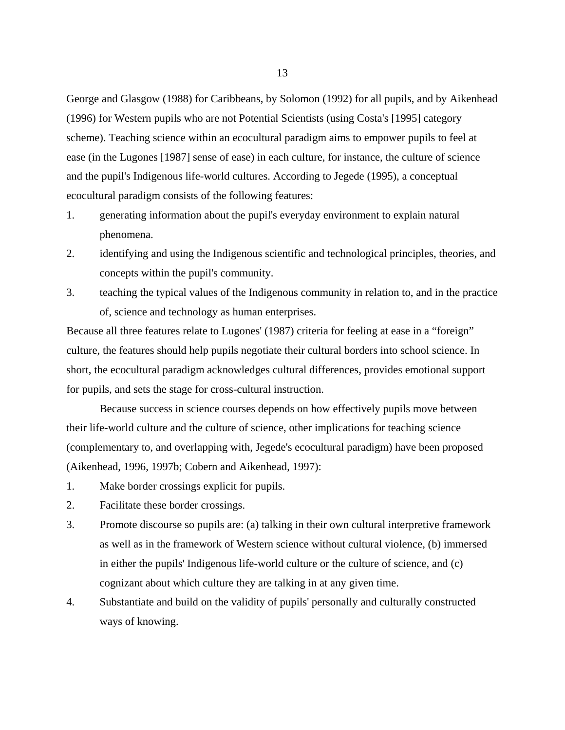George and Glasgow (1988) for Caribbeans, by Solomon (1992) for all pupils, and by Aikenhead (1996) for Western pupils who are not Potential Scientists (using Costa's [1995] category scheme). Teaching science within an ecocultural paradigm aims to empower pupils to feel at ease (in the Lugones [1987] sense of ease) in each culture, for instance, the culture of science and the pupil's Indigenous life-world cultures. According to Jegede (1995), a conceptual ecocultural paradigm consists of the following features:

- 1. generating information about the pupil's everyday environment to explain natural phenomena.
- 2. identifying and using the Indigenous scientific and technological principles, theories, and concepts within the pupil's community.
- 3. teaching the typical values of the Indigenous community in relation to, and in the practice of, science and technology as human enterprises.

Because all three features relate to Lugones' (1987) criteria for feeling at ease in a "foreign" culture, the features should help pupils negotiate their cultural borders into school science. In short, the ecocultural paradigm acknowledges cultural differences, provides emotional support for pupils, and sets the stage for cross-cultural instruction.

 Because success in science courses depends on how effectively pupils move between their life-world culture and the culture of science, other implications for teaching science (complementary to, and overlapping with, Jegede's ecocultural paradigm) have been proposed (Aikenhead, 1996, 1997b; Cobern and Aikenhead, 1997):

- 1. Make border crossings explicit for pupils.
- 2. Facilitate these border crossings.
- 3. Promote discourse so pupils are: (a) talking in their own cultural interpretive framework as well as in the framework of Western science without cultural violence, (b) immersed in either the pupils' Indigenous life-world culture or the culture of science, and (c) cognizant about which culture they are talking in at any given time.
- 4. Substantiate and build on the validity of pupils' personally and culturally constructed ways of knowing.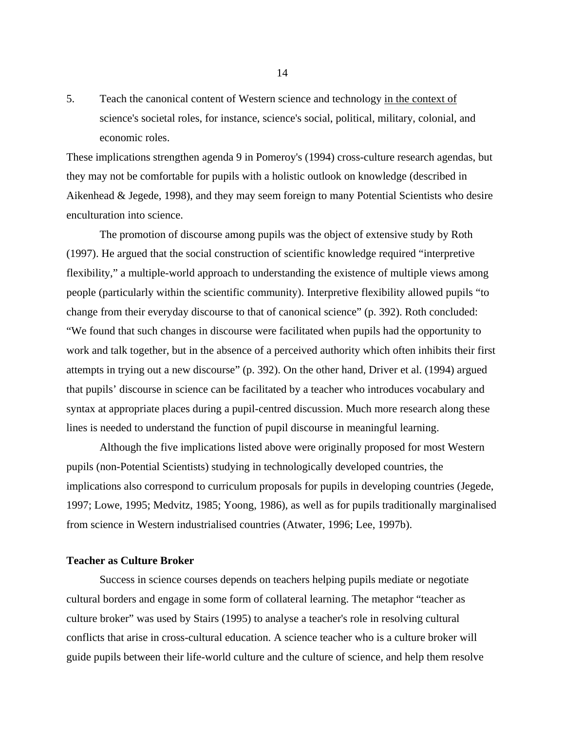5. Teach the canonical content of Western science and technology in the context of science's societal roles, for instance, science's social, political, military, colonial, and economic roles.

These implications strengthen agenda 9 in Pomeroy's (1994) cross-culture research agendas, but they may not be comfortable for pupils with a holistic outlook on knowledge (described in Aikenhead & Jegede, 1998), and they may seem foreign to many Potential Scientists who desire enculturation into science.

 The promotion of discourse among pupils was the object of extensive study by Roth (1997). He argued that the social construction of scientific knowledge required "interpretive flexibility," a multiple-world approach to understanding the existence of multiple views among people (particularly within the scientific community). Interpretive flexibility allowed pupils "to change from their everyday discourse to that of canonical science" (p. 392). Roth concluded: "We found that such changes in discourse were facilitated when pupils had the opportunity to work and talk together, but in the absence of a perceived authority which often inhibits their first attempts in trying out a new discourse" (p. 392). On the other hand, Driver et al. (1994) argued that pupils' discourse in science can be facilitated by a teacher who introduces vocabulary and syntax at appropriate places during a pupil-centred discussion. Much more research along these lines is needed to understand the function of pupil discourse in meaningful learning.

 Although the five implications listed above were originally proposed for most Western pupils (non-Potential Scientists) studying in technologically developed countries, the implications also correspond to curriculum proposals for pupils in developing countries (Jegede, 1997; Lowe, 1995; Medvitz, 1985; Yoong, 1986), as well as for pupils traditionally marginalised from science in Western industrialised countries (Atwater, 1996; Lee, 1997b).

# **Teacher as Culture Broker**

 Success in science courses depends on teachers helping pupils mediate or negotiate cultural borders and engage in some form of collateral learning. The metaphor "teacher as culture broker" was used by Stairs (1995) to analyse a teacher's role in resolving cultural conflicts that arise in cross-cultural education. A science teacher who is a culture broker will guide pupils between their life-world culture and the culture of science, and help them resolve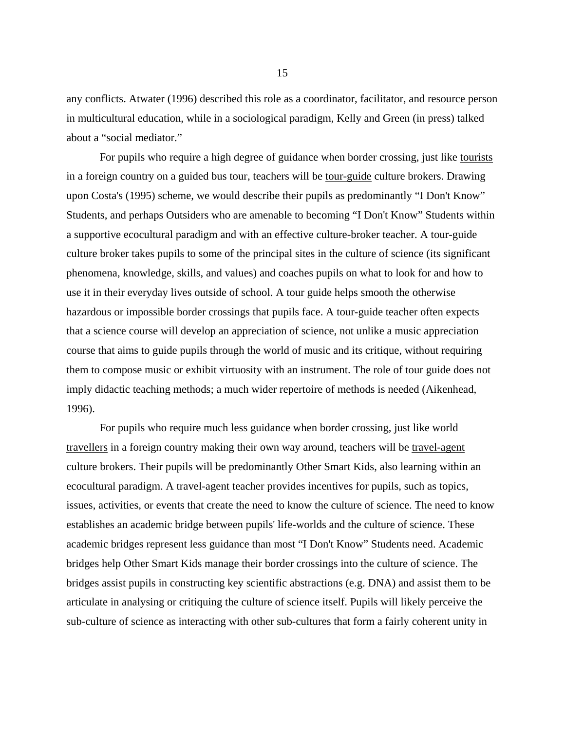any conflicts. Atwater (1996) described this role as a coordinator, facilitator, and resource person in multicultural education, while in a sociological paradigm, Kelly and Green (in press) talked about a "social mediator."

 For pupils who require a high degree of guidance when border crossing, just like tourists in a foreign country on a guided bus tour, teachers will be tour-guide culture brokers. Drawing upon Costa's (1995) scheme, we would describe their pupils as predominantly "I Don't Know" Students, and perhaps Outsiders who are amenable to becoming "I Don't Know" Students within a supportive ecocultural paradigm and with an effective culture-broker teacher. A tour-guide culture broker takes pupils to some of the principal sites in the culture of science (its significant phenomena, knowledge, skills, and values) and coaches pupils on what to look for and how to use it in their everyday lives outside of school. A tour guide helps smooth the otherwise hazardous or impossible border crossings that pupils face. A tour-guide teacher often expects that a science course will develop an appreciation of science, not unlike a music appreciation course that aims to guide pupils through the world of music and its critique, without requiring them to compose music or exhibit virtuosity with an instrument. The role of tour guide does not imply didactic teaching methods; a much wider repertoire of methods is needed (Aikenhead, 1996).

 For pupils who require much less guidance when border crossing, just like world travellers in a foreign country making their own way around, teachers will be travel-agent culture brokers. Their pupils will be predominantly Other Smart Kids, also learning within an ecocultural paradigm. A travel-agent teacher provides incentives for pupils, such as topics, issues, activities, or events that create the need to know the culture of science. The need to know establishes an academic bridge between pupils' life-worlds and the culture of science. These academic bridges represent less guidance than most "I Don't Know" Students need. Academic bridges help Other Smart Kids manage their border crossings into the culture of science. The bridges assist pupils in constructing key scientific abstractions (e.g. DNA) and assist them to be articulate in analysing or critiquing the culture of science itself. Pupils will likely perceive the sub-culture of science as interacting with other sub-cultures that form a fairly coherent unity in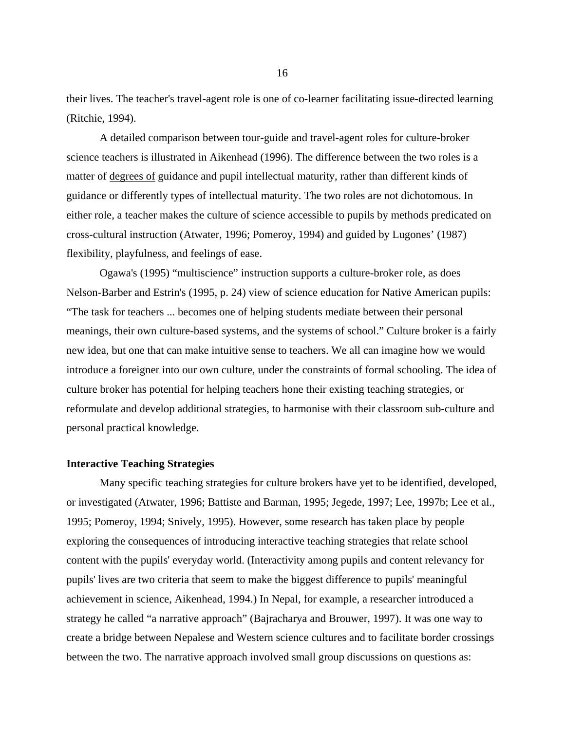their lives. The teacher's travel-agent role is one of co-learner facilitating issue-directed learning (Ritchie, 1994).

 A detailed comparison between tour-guide and travel-agent roles for culture-broker science teachers is illustrated in Aikenhead (1996). The difference between the two roles is a matter of degrees of guidance and pupil intellectual maturity, rather than different kinds of guidance or differently types of intellectual maturity. The two roles are not dichotomous. In either role, a teacher makes the culture of science accessible to pupils by methods predicated on cross-cultural instruction (Atwater, 1996; Pomeroy, 1994) and guided by Lugones' (1987) flexibility, playfulness, and feelings of ease.

 Ogawa's (1995) "multiscience" instruction supports a culture-broker role, as does Nelson-Barber and Estrin's (1995, p. 24) view of science education for Native American pupils: "The task for teachers ... becomes one of helping students mediate between their personal meanings, their own culture-based systems, and the systems of school." Culture broker is a fairly new idea, but one that can make intuitive sense to teachers. We all can imagine how we would introduce a foreigner into our own culture, under the constraints of formal schooling. The idea of culture broker has potential for helping teachers hone their existing teaching strategies, or reformulate and develop additional strategies, to harmonise with their classroom sub-culture and personal practical knowledge.

## **Interactive Teaching Strategies**

 Many specific teaching strategies for culture brokers have yet to be identified, developed, or investigated (Atwater, 1996; Battiste and Barman, 1995; Jegede, 1997; Lee, 1997b; Lee et al., 1995; Pomeroy, 1994; Snively, 1995). However, some research has taken place by people exploring the consequences of introducing interactive teaching strategies that relate school content with the pupils' everyday world. (Interactivity among pupils and content relevancy for pupils' lives are two criteria that seem to make the biggest difference to pupils' meaningful achievement in science, Aikenhead, 1994.) In Nepal, for example, a researcher introduced a strategy he called "a narrative approach" (Bajracharya and Brouwer, 1997). It was one way to create a bridge between Nepalese and Western science cultures and to facilitate border crossings between the two. The narrative approach involved small group discussions on questions as: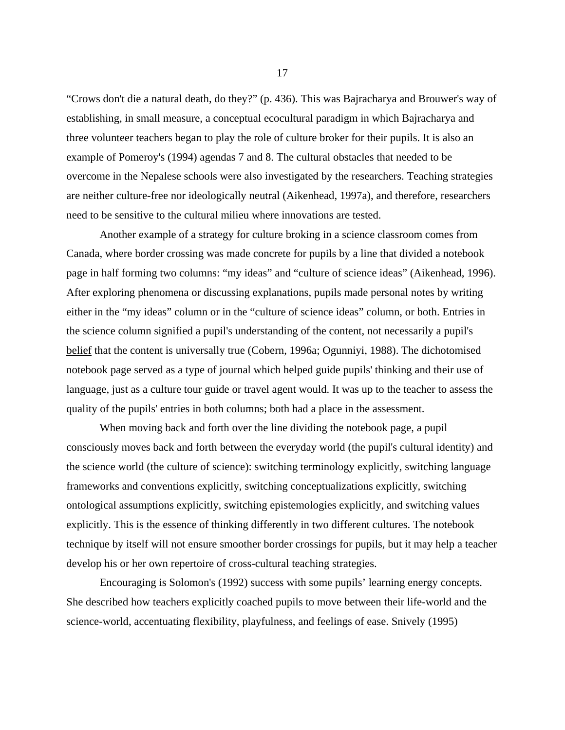"Crows don't die a natural death, do they?" (p. 436). This was Bajracharya and Brouwer's way of establishing, in small measure, a conceptual ecocultural paradigm in which Bajracharya and three volunteer teachers began to play the role of culture broker for their pupils. It is also an example of Pomeroy's (1994) agendas 7 and 8. The cultural obstacles that needed to be overcome in the Nepalese schools were also investigated by the researchers. Teaching strategies are neither culture-free nor ideologically neutral (Aikenhead, 1997a), and therefore, researchers need to be sensitive to the cultural milieu where innovations are tested.

 Another example of a strategy for culture broking in a science classroom comes from Canada, where border crossing was made concrete for pupils by a line that divided a notebook page in half forming two columns: "my ideas" and "culture of science ideas" (Aikenhead, 1996). After exploring phenomena or discussing explanations, pupils made personal notes by writing either in the "my ideas" column or in the "culture of science ideas" column, or both. Entries in the science column signified a pupil's understanding of the content, not necessarily a pupil's belief that the content is universally true (Cobern, 1996a; Ogunniyi, 1988). The dichotomised notebook page served as a type of journal which helped guide pupils' thinking and their use of language, just as a culture tour guide or travel agent would. It was up to the teacher to assess the quality of the pupils' entries in both columns; both had a place in the assessment.

 When moving back and forth over the line dividing the notebook page, a pupil consciously moves back and forth between the everyday world (the pupil's cultural identity) and the science world (the culture of science): switching terminology explicitly, switching language frameworks and conventions explicitly, switching conceptualizations explicitly, switching ontological assumptions explicitly, switching epistemologies explicitly, and switching values explicitly. This is the essence of thinking differently in two different cultures. The notebook technique by itself will not ensure smoother border crossings for pupils, but it may help a teacher develop his or her own repertoire of cross-cultural teaching strategies.

 Encouraging is Solomon's (1992) success with some pupils' learning energy concepts. She described how teachers explicitly coached pupils to move between their life-world and the science-world, accentuating flexibility, playfulness, and feelings of ease. Snively (1995)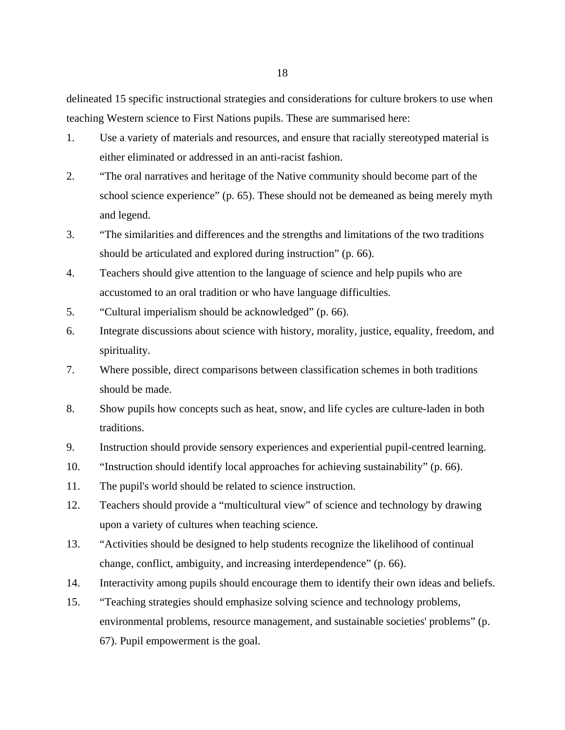delineated 15 specific instructional strategies and considerations for culture brokers to use when teaching Western science to First Nations pupils. These are summarised here:

- 1. Use a variety of materials and resources, and ensure that racially stereotyped material is either eliminated or addressed in an anti-racist fashion.
- 2. "The oral narratives and heritage of the Native community should become part of the school science experience" (p. 65). These should not be demeaned as being merely myth and legend.
- 3. "The similarities and differences and the strengths and limitations of the two traditions should be articulated and explored during instruction" (p. 66).
- 4. Teachers should give attention to the language of science and help pupils who are accustomed to an oral tradition or who have language difficulties.
- 5. "Cultural imperialism should be acknowledged" (p. 66).
- 6. Integrate discussions about science with history, morality, justice, equality, freedom, and spirituality.
- 7. Where possible, direct comparisons between classification schemes in both traditions should be made.
- 8. Show pupils how concepts such as heat, snow, and life cycles are culture-laden in both traditions.
- 9. Instruction should provide sensory experiences and experiential pupil-centred learning.
- 10. "Instruction should identify local approaches for achieving sustainability" (p. 66).
- 11. The pupil's world should be related to science instruction.
- 12. Teachers should provide a "multicultural view" of science and technology by drawing upon a variety of cultures when teaching science.
- 13. "Activities should be designed to help students recognize the likelihood of continual change, conflict, ambiguity, and increasing interdependence" (p. 66).
- 14. Interactivity among pupils should encourage them to identify their own ideas and beliefs.
- 15. "Teaching strategies should emphasize solving science and technology problems, environmental problems, resource management, and sustainable societies' problems" (p. 67). Pupil empowerment is the goal.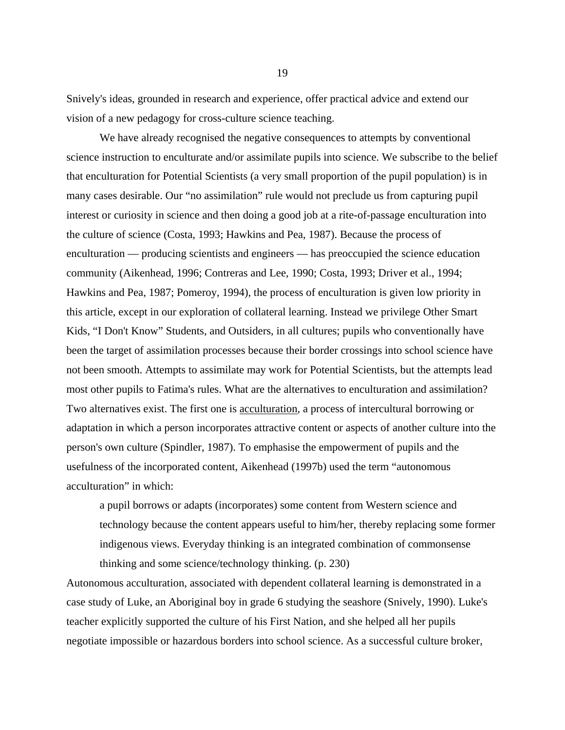Snively's ideas, grounded in research and experience, offer practical advice and extend our vision of a new pedagogy for cross-culture science teaching.

We have already recognised the negative consequences to attempts by conventional science instruction to enculturate and/or assimilate pupils into science. We subscribe to the belief that enculturation for Potential Scientists (a very small proportion of the pupil population) is in many cases desirable. Our "no assimilation" rule would not preclude us from capturing pupil interest or curiosity in science and then doing a good job at a rite-of-passage enculturation into the culture of science (Costa, 1993; Hawkins and Pea, 1987). Because the process of enculturation — producing scientists and engineers — has preoccupied the science education community (Aikenhead, 1996; Contreras and Lee, 1990; Costa, 1993; Driver et al., 1994; Hawkins and Pea, 1987; Pomeroy, 1994), the process of enculturation is given low priority in this article, except in our exploration of collateral learning. Instead we privilege Other Smart Kids, "I Don't Know" Students, and Outsiders, in all cultures; pupils who conventionally have been the target of assimilation processes because their border crossings into school science have not been smooth. Attempts to assimilate may work for Potential Scientists, but the attempts lead most other pupils to Fatima's rules. What are the alternatives to enculturation and assimilation? Two alternatives exist. The first one is acculturation, a process of intercultural borrowing or adaptation in which a person incorporates attractive content or aspects of another culture into the person's own culture (Spindler, 1987). To emphasise the empowerment of pupils and the usefulness of the incorporated content, Aikenhead (1997b) used the term "autonomous acculturation" in which:

a pupil borrows or adapts (incorporates) some content from Western science and technology because the content appears useful to him/her, thereby replacing some former indigenous views. Everyday thinking is an integrated combination of commonsense thinking and some science/technology thinking. (p. 230)

Autonomous acculturation, associated with dependent collateral learning is demonstrated in a case study of Luke, an Aboriginal boy in grade 6 studying the seashore (Snively, 1990). Luke's teacher explicitly supported the culture of his First Nation, and she helped all her pupils negotiate impossible or hazardous borders into school science. As a successful culture broker,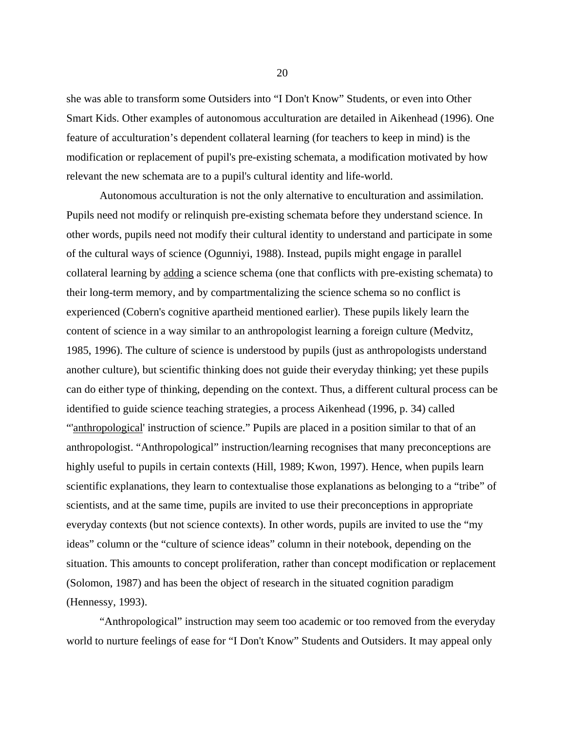she was able to transform some Outsiders into "I Don't Know" Students, or even into Other Smart Kids. Other examples of autonomous acculturation are detailed in Aikenhead (1996). One feature of acculturation's dependent collateral learning (for teachers to keep in mind) is the modification or replacement of pupil's pre-existing schemata, a modification motivated by how relevant the new schemata are to a pupil's cultural identity and life-world.

 Autonomous acculturation is not the only alternative to enculturation and assimilation. Pupils need not modify or relinquish pre-existing schemata before they understand science. In other words, pupils need not modify their cultural identity to understand and participate in some of the cultural ways of science (Ogunniyi, 1988). Instead, pupils might engage in parallel collateral learning by adding a science schema (one that conflicts with pre-existing schemata) to their long-term memory, and by compartmentalizing the science schema so no conflict is experienced (Cobern's cognitive apartheid mentioned earlier). These pupils likely learn the content of science in a way similar to an anthropologist learning a foreign culture (Medvitz, 1985, 1996). The culture of science is understood by pupils (just as anthropologists understand another culture), but scientific thinking does not guide their everyday thinking; yet these pupils can do either type of thinking, depending on the context. Thus, a different cultural process can be identified to guide science teaching strategies, a process Aikenhead (1996, p. 34) called "'anthropological' instruction of science." Pupils are placed in a position similar to that of an anthropologist. "Anthropological" instruction/learning recognises that many preconceptions are highly useful to pupils in certain contexts (Hill, 1989; Kwon, 1997). Hence, when pupils learn scientific explanations, they learn to contextualise those explanations as belonging to a "tribe" of scientists, and at the same time, pupils are invited to use their preconceptions in appropriate everyday contexts (but not science contexts). In other words, pupils are invited to use the "my ideas" column or the "culture of science ideas" column in their notebook, depending on the situation. This amounts to concept proliferation, rather than concept modification or replacement (Solomon, 1987) and has been the object of research in the situated cognition paradigm (Hennessy, 1993).

 "Anthropological" instruction may seem too academic or too removed from the everyday world to nurture feelings of ease for "I Don't Know" Students and Outsiders. It may appeal only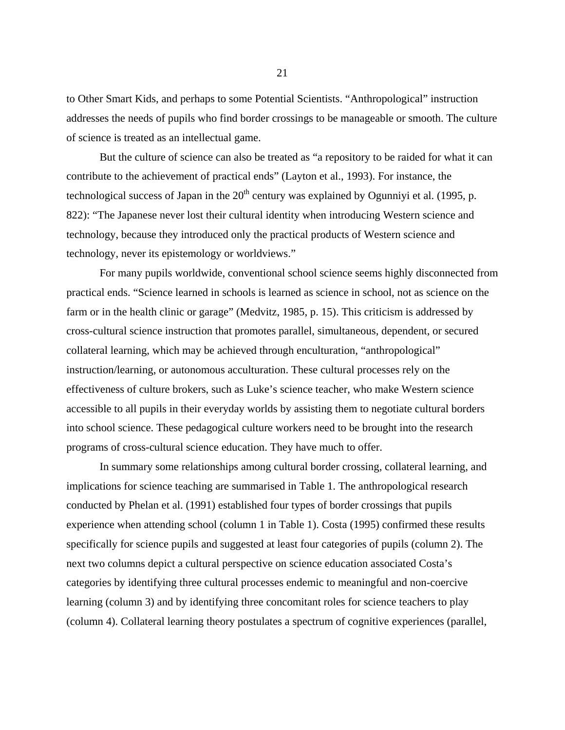to Other Smart Kids, and perhaps to some Potential Scientists. "Anthropological" instruction addresses the needs of pupils who find border crossings to be manageable or smooth. The culture of science is treated as an intellectual game.

 But the culture of science can also be treated as "a repository to be raided for what it can contribute to the achievement of practical ends" (Layton et al., 1993). For instance, the technological success of Japan in the  $20<sup>th</sup>$  century was explained by Ogunniyi et al. (1995, p. 822): "The Japanese never lost their cultural identity when introducing Western science and technology, because they introduced only the practical products of Western science and technology, never its epistemology or worldviews."

 For many pupils worldwide, conventional school science seems highly disconnected from practical ends. "Science learned in schools is learned as science in school, not as science on the farm or in the health clinic or garage" (Medvitz, 1985, p. 15). This criticism is addressed by cross-cultural science instruction that promotes parallel, simultaneous, dependent, or secured collateral learning, which may be achieved through enculturation, "anthropological" instruction/learning, or autonomous acculturation. These cultural processes rely on the effectiveness of culture brokers, such as Luke's science teacher, who make Western science accessible to all pupils in their everyday worlds by assisting them to negotiate cultural borders into school science. These pedagogical culture workers need to be brought into the research programs of cross-cultural science education. They have much to offer.

 In summary some relationships among cultural border crossing, collateral learning, and implications for science teaching are summarised in Table 1. The anthropological research conducted by Phelan et al. (1991) established four types of border crossings that pupils experience when attending school (column 1 in Table 1). Costa (1995) confirmed these results specifically for science pupils and suggested at least four categories of pupils (column 2). The next two columns depict a cultural perspective on science education associated Costa's categories by identifying three cultural processes endemic to meaningful and non-coercive learning (column 3) and by identifying three concomitant roles for science teachers to play (column 4). Collateral learning theory postulates a spectrum of cognitive experiences (parallel,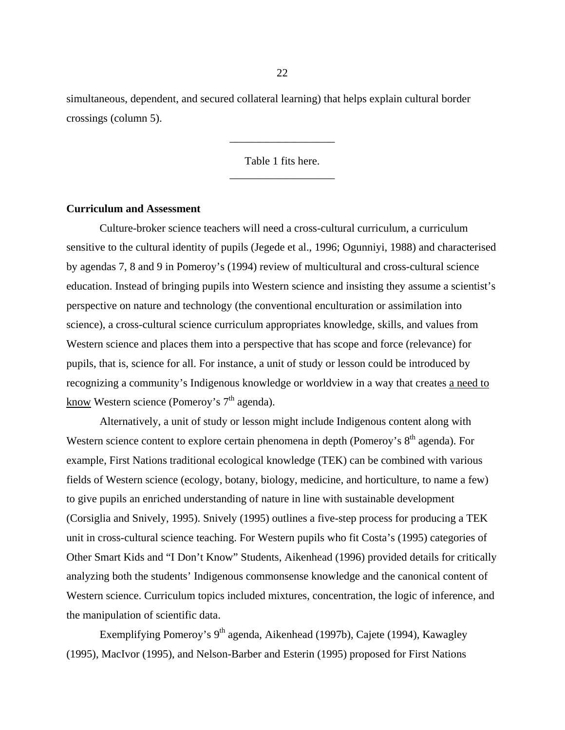simultaneous, dependent, and secured collateral learning) that helps explain cultural border crossings (column 5).

> Table 1 fits here. \_\_\_\_\_\_\_\_\_\_\_\_\_\_\_\_\_\_\_

\_\_\_\_\_\_\_\_\_\_\_\_\_\_\_\_\_\_\_

## **Curriculum and Assessment**

 Culture-broker science teachers will need a cross-cultural curriculum, a curriculum sensitive to the cultural identity of pupils (Jegede et al., 1996; Ogunniyi, 1988) and characterised by agendas 7, 8 and 9 in Pomeroy's (1994) review of multicultural and cross-cultural science education. Instead of bringing pupils into Western science and insisting they assume a scientist's perspective on nature and technology (the conventional enculturation or assimilation into science), a cross-cultural science curriculum appropriates knowledge, skills, and values from Western science and places them into a perspective that has scope and force (relevance) for pupils, that is, science for all. For instance, a unit of study or lesson could be introduced by recognizing a community's Indigenous knowledge or worldview in a way that creates a need to know Western science (Pomeroy's  $7<sup>th</sup>$  agenda).

 Alternatively, a unit of study or lesson might include Indigenous content along with Western science content to explore certain phenomena in depth (Pomeroy's 8<sup>th</sup> agenda). For example, First Nations traditional ecological knowledge (TEK) can be combined with various fields of Western science (ecology, botany, biology, medicine, and horticulture, to name a few) to give pupils an enriched understanding of nature in line with sustainable development (Corsiglia and Snively, 1995). Snively (1995) outlines a five-step process for producing a TEK unit in cross-cultural science teaching. For Western pupils who fit Costa's (1995) categories of Other Smart Kids and "I Don't Know" Students, Aikenhead (1996) provided details for critically analyzing both the students' Indigenous commonsense knowledge and the canonical content of Western science. Curriculum topics included mixtures, concentration, the logic of inference, and the manipulation of scientific data.

Exemplifying Pomeroy's  $9<sup>th</sup>$  agenda, Aikenhead (1997b), Cajete (1994), Kawagley (1995), MacIvor (1995), and Nelson-Barber and Esterin (1995) proposed for First Nations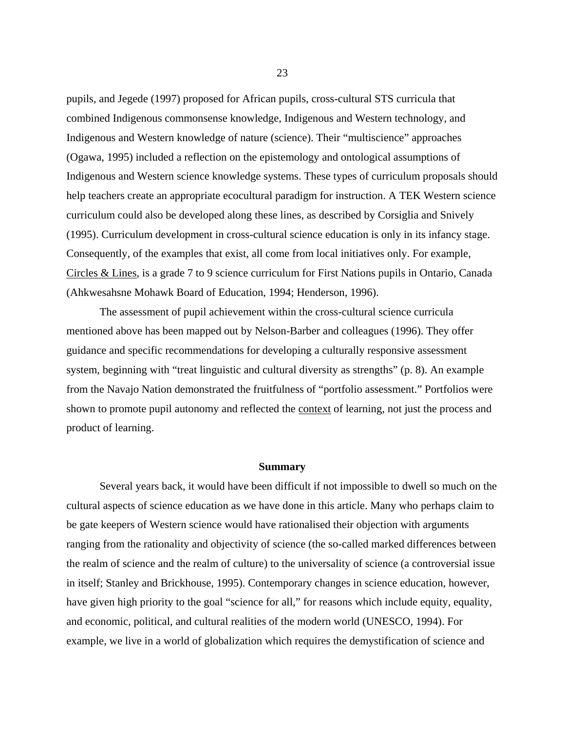pupils, and Jegede (1997) proposed for African pupils, cross-cultural STS curricula that combined Indigenous commonsense knowledge, Indigenous and Western technology, and Indigenous and Western knowledge of nature (science). Their "multiscience" approaches (Ogawa, 1995) included a reflection on the epistemology and ontological assumptions of Indigenous and Western science knowledge systems. These types of curriculum proposals should help teachers create an appropriate ecocultural paradigm for instruction. A TEK Western science curriculum could also be developed along these lines, as described by Corsiglia and Snively (1995). Curriculum development in cross-cultural science education is only in its infancy stage. Consequently, of the examples that exist, all come from local initiatives only. For example, Circles & Lines, is a grade 7 to 9 science curriculum for First Nations pupils in Ontario, Canada (Ahkwesahsne Mohawk Board of Education, 1994; Henderson, 1996).

 The assessment of pupil achievement within the cross-cultural science curricula mentioned above has been mapped out by Nelson-Barber and colleagues (1996). They offer guidance and specific recommendations for developing a culturally responsive assessment system, beginning with "treat linguistic and cultural diversity as strengths" (p. 8). An example from the Navajo Nation demonstrated the fruitfulness of "portfolio assessment." Portfolios were shown to promote pupil autonomy and reflected the context of learning, not just the process and product of learning.

#### **Summary**

 Several years back, it would have been difficult if not impossible to dwell so much on the cultural aspects of science education as we have done in this article. Many who perhaps claim to be gate keepers of Western science would have rationalised their objection with arguments ranging from the rationality and objectivity of science (the so-called marked differences between the realm of science and the realm of culture) to the universality of science (a controversial issue in itself; Stanley and Brickhouse, 1995). Contemporary changes in science education, however, have given high priority to the goal "science for all," for reasons which include equity, equality, and economic, political, and cultural realities of the modern world (UNESCO, 1994). For example, we live in a world of globalization which requires the demystification of science and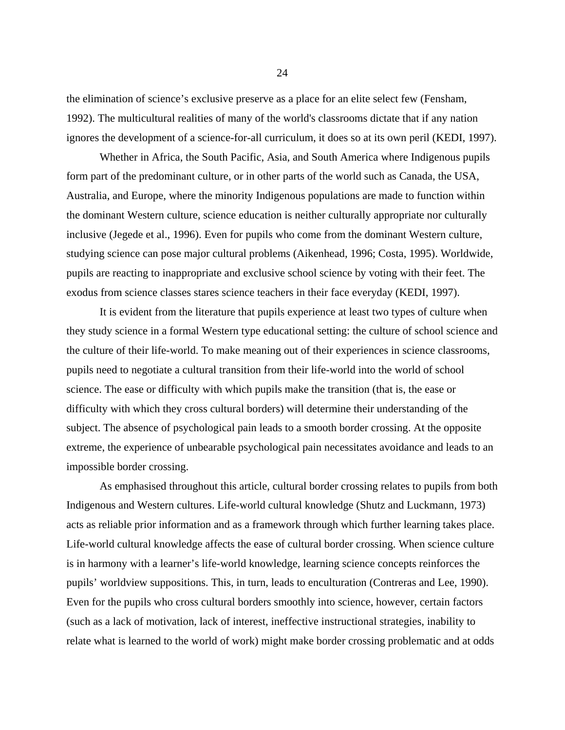the elimination of science's exclusive preserve as a place for an elite select few (Fensham, 1992). The multicultural realities of many of the world's classrooms dictate that if any nation ignores the development of a science-for-all curriculum, it does so at its own peril (KEDI, 1997).

 Whether in Africa, the South Pacific, Asia, and South America where Indigenous pupils form part of the predominant culture, or in other parts of the world such as Canada, the USA, Australia, and Europe, where the minority Indigenous populations are made to function within the dominant Western culture, science education is neither culturally appropriate nor culturally inclusive (Jegede et al., 1996). Even for pupils who come from the dominant Western culture, studying science can pose major cultural problems (Aikenhead, 1996; Costa, 1995). Worldwide, pupils are reacting to inappropriate and exclusive school science by voting with their feet. The exodus from science classes stares science teachers in their face everyday (KEDI, 1997).

 It is evident from the literature that pupils experience at least two types of culture when they study science in a formal Western type educational setting: the culture of school science and the culture of their life-world. To make meaning out of their experiences in science classrooms, pupils need to negotiate a cultural transition from their life-world into the world of school science. The ease or difficulty with which pupils make the transition (that is, the ease or difficulty with which they cross cultural borders) will determine their understanding of the subject. The absence of psychological pain leads to a smooth border crossing. At the opposite extreme, the experience of unbearable psychological pain necessitates avoidance and leads to an impossible border crossing.

 As emphasised throughout this article, cultural border crossing relates to pupils from both Indigenous and Western cultures. Life-world cultural knowledge (Shutz and Luckmann, 1973) acts as reliable prior information and as a framework through which further learning takes place. Life-world cultural knowledge affects the ease of cultural border crossing. When science culture is in harmony with a learner's life-world knowledge, learning science concepts reinforces the pupils' worldview suppositions. This, in turn, leads to enculturation (Contreras and Lee, 1990). Even for the pupils who cross cultural borders smoothly into science, however, certain factors (such as a lack of motivation, lack of interest, ineffective instructional strategies, inability to relate what is learned to the world of work) might make border crossing problematic and at odds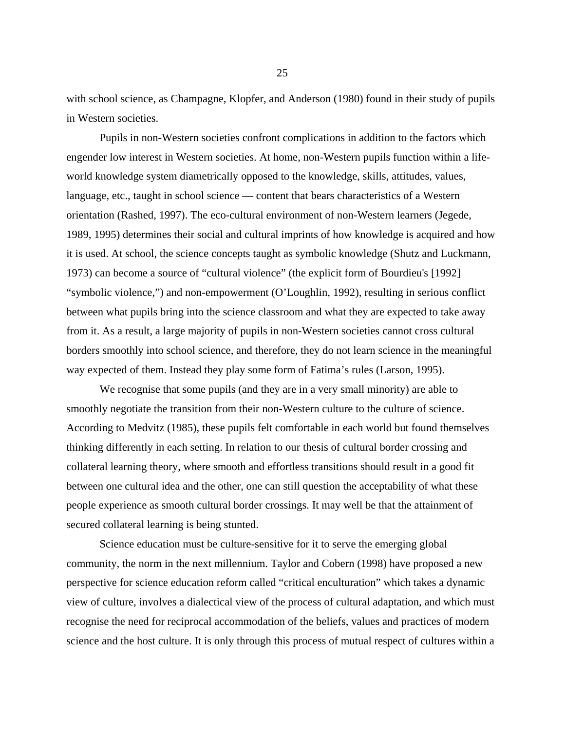with school science, as Champagne, Klopfer, and Anderson (1980) found in their study of pupils in Western societies.

 Pupils in non-Western societies confront complications in addition to the factors which engender low interest in Western societies. At home, non-Western pupils function within a lifeworld knowledge system diametrically opposed to the knowledge, skills, attitudes, values, language, etc., taught in school science — content that bears characteristics of a Western orientation (Rashed, 1997). The eco-cultural environment of non-Western learners (Jegede, 1989, 1995) determines their social and cultural imprints of how knowledge is acquired and how it is used. At school, the science concepts taught as symbolic knowledge (Shutz and Luckmann, 1973) can become a source of "cultural violence" (the explicit form of Bourdieu's [1992] "symbolic violence,") and non-empowerment (O'Loughlin, 1992), resulting in serious conflict between what pupils bring into the science classroom and what they are expected to take away from it. As a result, a large majority of pupils in non-Western societies cannot cross cultural borders smoothly into school science, and therefore, they do not learn science in the meaningful way expected of them. Instead they play some form of Fatima's rules (Larson, 1995).

 We recognise that some pupils (and they are in a very small minority) are able to smoothly negotiate the transition from their non-Western culture to the culture of science. According to Medvitz (1985), these pupils felt comfortable in each world but found themselves thinking differently in each setting. In relation to our thesis of cultural border crossing and collateral learning theory, where smooth and effortless transitions should result in a good fit between one cultural idea and the other, one can still question the acceptability of what these people experience as smooth cultural border crossings. It may well be that the attainment of secured collateral learning is being stunted.

 Science education must be culture-sensitive for it to serve the emerging global community, the norm in the next millennium. Taylor and Cobern (1998) have proposed a new perspective for science education reform called "critical enculturation" which takes a dynamic view of culture, involves a dialectical view of the process of cultural adaptation, and which must recognise the need for reciprocal accommodation of the beliefs, values and practices of modern science and the host culture. It is only through this process of mutual respect of cultures within a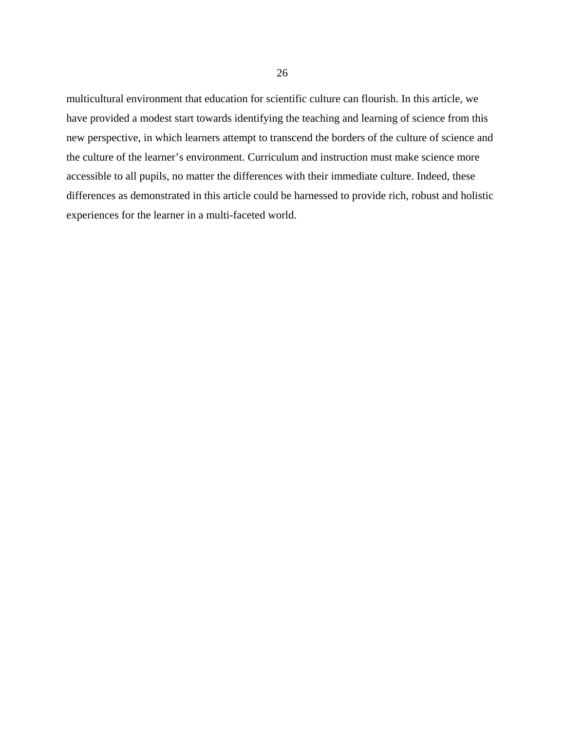multicultural environment that education for scientific culture can flourish. In this article, we have provided a modest start towards identifying the teaching and learning of science from this new perspective, in which learners attempt to transcend the borders of the culture of science and the culture of the learner's environment. Curriculum and instruction must make science more accessible to all pupils, no matter the differences with their immediate culture. Indeed, these differences as demonstrated in this article could be harnessed to provide rich, robust and holistic experiences for the learner in a multi-faceted world.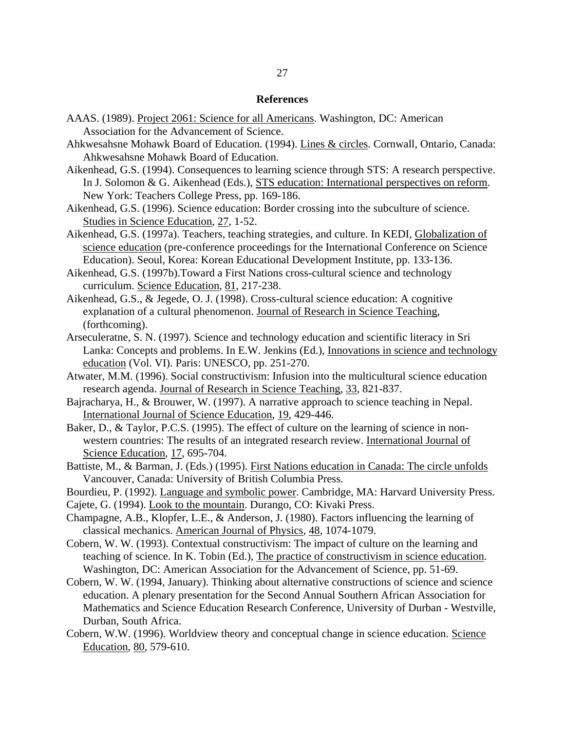- AAAS. (1989). Project 2061: Science for all Americans. Washington, DC: American Association for the Advancement of Science.
- Ahkwesahsne Mohawk Board of Education. (1994). Lines & circles. Cornwall, Ontario, Canada: Ahkwesahsne Mohawk Board of Education.
- Aikenhead, G.S. (1994). Consequences to learning science through STS: A research perspective. In J. Solomon & G. Aikenhead (Eds.), **STS** education: International perspectives on reform. New York: Teachers College Press, pp. 169-186.
- Aikenhead, G.S. (1996). Science education: Border crossing into the subculture of science. Studies in Science Education, 27, 1-52.
- Aikenhead, G.S. (1997a). Teachers, teaching strategies, and culture. In KEDI, Globalization of science education (pre-conference proceedings for the International Conference on Science Education). Seoul, Korea: Korean Educational Development Institute, pp. 133-136.
- Aikenhead, G.S. (1997b).Toward a First Nations cross-cultural science and technology curriculum. Science Education, 81, 217-238.
- Aikenhead, G.S., & Jegede, O. J. (1998). Cross-cultural science education: A cognitive explanation of a cultural phenomenon. Journal of Research in Science Teaching, (forthcoming).
- Arseculeratne, S. N. (1997). Science and technology education and scientific literacy in Sri Lanka: Concepts and problems. In E.W. Jenkins (Ed.), Innovations in science and technology education (Vol. VI). Paris: UNESCO, pp. 251-270.
- Atwater, M.M. (1996). Social constructivism: Infusion into the multicultural science education research agenda. Journal of Research in Science Teaching, 33, 821-837.
- Bajracharya, H., & Brouwer, W. (1997). A narrative approach to science teaching in Nepal. International Journal of Science Education, 19, 429-446.
- Baker, D., & Taylor, P.C.S. (1995). The effect of culture on the learning of science in nonwestern countries: The results of an integrated research review. International Journal of Science Education, 17, 695-704.
- Battiste, M., & Barman, J. (Eds.) (1995). First Nations education in Canada: The circle unfolds Vancouver, Canada: University of British Columbia Press.
- Bourdieu, P. (1992). Language and symbolic power. Cambridge, MA: Harvard University Press.
- Cajete, G. (1994). Look to the mountain. Durango, CO: Kivaki Press.
- Champagne, A.B., Klopfer, L.E., & Anderson, J. (1980). Factors influencing the learning of classical mechanics. American Journal of Physics, 48, 1074-1079.
- Cobern, W. W. (1993). Contextual constructivism: The impact of culture on the learning and teaching of science. In K. Tobin (Ed.), The practice of constructivism in science education. Washington, DC: American Association for the Advancement of Science, pp. 51-69.
- Cobern, W. W. (1994, January). Thinking about alternative constructions of science and science education. A plenary presentation for the Second Annual Southern African Association for Mathematics and Science Education Research Conference, University of Durban - Westville, Durban, South Africa.
- Cobern, W.W. (1996). Worldview theory and conceptual change in science education. Science Education, 80, 579-610.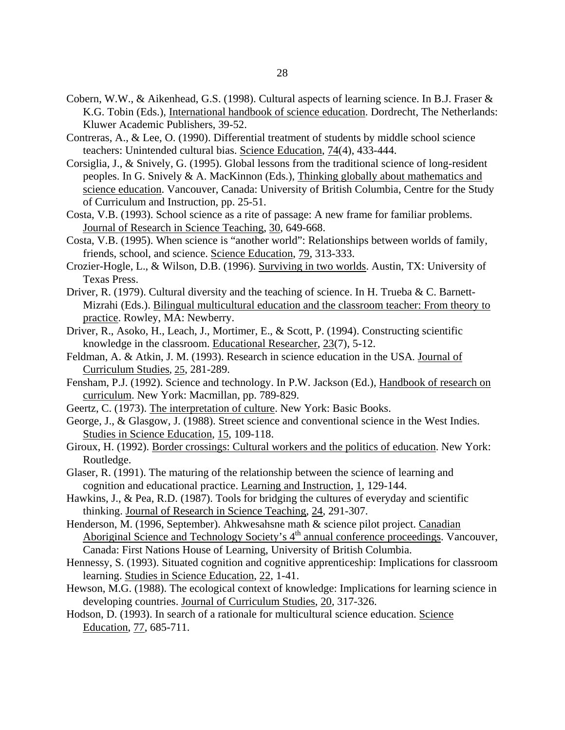- Cobern, W.W., & Aikenhead, G.S. (1998). Cultural aspects of learning science. In B.J. Fraser & K.G. Tobin (Eds.), International handbook of science education. Dordrecht, The Netherlands: Kluwer Academic Publishers, 39-52.
- Contreras, A., & Lee, O. (1990). Differential treatment of students by middle school science teachers: Unintended cultural bias. Science Education, 74(4), 433-444.
- Corsiglia, J., & Snively, G. (1995). Global lessons from the traditional science of long-resident peoples. In G. Snively & A. MacKinnon (Eds.), Thinking globally about mathematics and science education. Vancouver, Canada: University of British Columbia, Centre for the Study of Curriculum and Instruction, pp. 25-51.
- Costa, V.B. (1993). School science as a rite of passage: A new frame for familiar problems. Journal of Research in Science Teaching, 30, 649-668.
- Costa, V.B. (1995). When science is "another world": Relationships between worlds of family, friends, school, and science. Science Education, 79, 313-333.
- Crozier-Hogle, L., & Wilson, D.B. (1996). Surviving in two worlds. Austin, TX: University of Texas Press.
- Driver, R. (1979). Cultural diversity and the teaching of science. In H. Trueba & C. Barnett-Mizrahi (Eds.). Bilingual multicultural education and the classroom teacher: From theory to practice. Rowley, MA: Newberry.
- Driver, R., Asoko, H., Leach, J., Mortimer, E., & Scott, P. (1994). Constructing scientific knowledge in the classroom. Educational Researcher, 23(7), 5-12.
- Feldman, A. & Atkin, J. M. (1993). Research in science education in the USA*.* Journal of Curriculum Studies, 25, 281-289.
- Fensham, P.J. (1992). Science and technology. In P.W. Jackson (Ed.), Handbook of research on curriculum. New York: Macmillan, pp. 789-829.
- Geertz, C. (1973). The interpretation of culture. New York: Basic Books.
- George, J., & Glasgow, J. (1988). Street science and conventional science in the West Indies. Studies in Science Education, 15, 109-118.
- Giroux, H. (1992). Border crossings: Cultural workers and the politics of education. New York: Routledge.
- Glaser, R. (1991). The maturing of the relationship between the science of learning and cognition and educational practice. Learning and Instruction, 1, 129-144.
- Hawkins, J., & Pea, R.D. (1987). Tools for bridging the cultures of everyday and scientific thinking. Journal of Research in Science Teaching, 24, 291-307.
- Henderson, M. (1996, September). Ahkwesahsne math & science pilot project. Canadian Aboriginal Science and Technology Society's  $4<sup>th</sup>$  annual conference proceedings. Vancouver, Canada: First Nations House of Learning, University of British Columbia.
- Hennessy, S. (1993). Situated cognition and cognitive apprenticeship: Implications for classroom learning. Studies in Science Education, 22, 1-41.
- Hewson, M.G. (1988). The ecological context of knowledge: Implications for learning science in developing countries. Journal of Curriculum Studies, 20, 317-326.
- Hodson, D. (1993). In search of a rationale for multicultural science education. Science Education, 77, 685-711.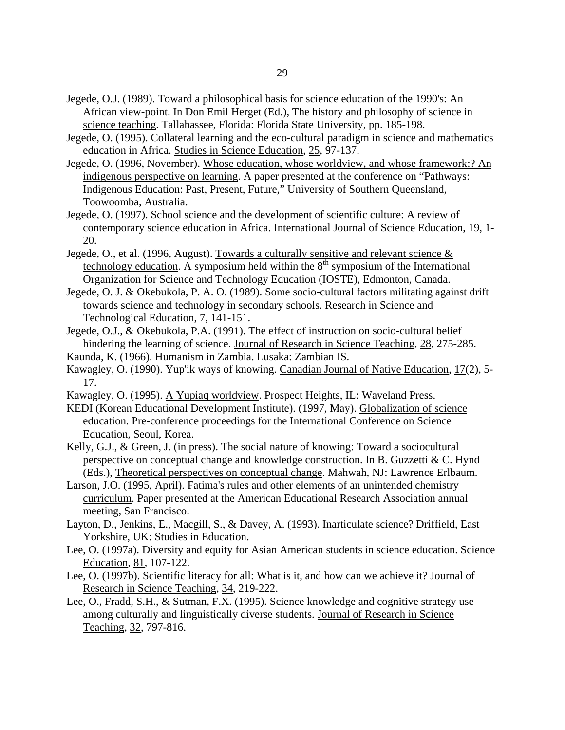- Jegede, O.J. (1989). Toward a philosophical basis for science education of the 1990's: An African view-point. In Don Emil Herget (Ed.), The history and philosophy of science in science teaching. Tallahassee, Florida: Florida State University, pp. 185-198.
- Jegede, O. (1995). Collateral learning and the eco-cultural paradigm in science and mathematics education in Africa. Studies in Science Education, 25, 97-137.
- Jegede, O. (1996, November). Whose education, whose worldview, and whose framework:? An indigenous perspective on learning. A paper presented at the conference on "Pathways: Indigenous Education: Past, Present, Future," University of Southern Queensland, Toowoomba, Australia.
- Jegede, O. (1997). School science and the development of scientific culture: A review of contemporary science education in Africa. International Journal of Science Education, 19, 1- 20.
- Jegede, O., et al. (1996, August). Towards a culturally sensitive and relevant science  $&$ technology education. A symposium held within the  $8<sup>th</sup>$  symposium of the International Organization for Science and Technology Education (IOSTE), Edmonton, Canada.
- Jegede, O. J. & Okebukola, P. A. O. (1989). Some socio-cultural factors militating against drift towards science and technology in secondary schools. Research in Science and Technological Education, 7, 141-151.
- Jegede, O.J., & Okebukola, P.A. (1991). The effect of instruction on socio-cultural belief hindering the learning of science. Journal of Research in Science Teaching, 28, 275-285.
- Kaunda, K. (1966). Humanism in Zambia. Lusaka: Zambian IS.
- Kawagley, O. (1990). Yup'ik ways of knowing. Canadian Journal of Native Education, 17(2), 5- 17.
- Kawagley, O. (1995). A Yupiaq worldview. Prospect Heights, IL: Waveland Press.
- KEDI (Korean Educational Development Institute). (1997, May). Globalization of science education. Pre-conference proceedings for the International Conference on Science Education, Seoul, Korea.
- Kelly, G.J., & Green, J. (in press). The social nature of knowing: Toward a sociocultural perspective on conceptual change and knowledge construction. In B. Guzzetti & C. Hynd (Eds.), Theoretical perspectives on conceptual change. Mahwah, NJ: Lawrence Erlbaum.
- Larson, J.O. (1995, April). Fatima's rules and other elements of an unintended chemistry curriculum. Paper presented at the American Educational Research Association annual meeting, San Francisco.
- Layton, D., Jenkins, E., Macgill, S., & Davey, A. (1993). Inarticulate science? Driffield, East Yorkshire, UK: Studies in Education.
- Lee, O. (1997a). Diversity and equity for Asian American students in science education. Science Education, 81, 107-122.
- Lee, O. (1997b). Scientific literacy for all: What is it, and how can we achieve it? Journal of Research in Science Teaching, 34, 219-222.
- Lee, O., Fradd, S.H., & Sutman, F.X. (1995). Science knowledge and cognitive strategy use among culturally and linguistically diverse students. Journal of Research in Science Teaching, 32, 797-816.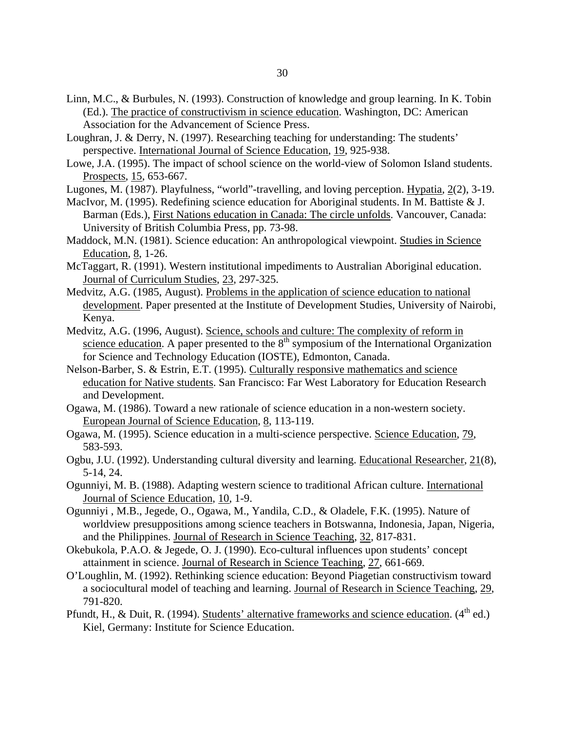- Linn, M.C., & Burbules, N. (1993). Construction of knowledge and group learning. In K. Tobin (Ed.). The practice of constructivism in science education. Washington, DC: American Association for the Advancement of Science Press.
- Loughran, J. & Derry, N. (1997). Researching teaching for understanding: The students' perspective. International Journal of Science Education, 19, 925-938.
- Lowe, J.A. (1995). The impact of school science on the world-view of Solomon Island students. Prospects, 15, 653-667.
- Lugones, M. (1987). Playfulness, "world"-travelling, and loving perception. Hypatia, 2(2), 3-19.
- MacIvor, M. (1995). Redefining science education for Aboriginal students. In M. Battiste & J. Barman (Eds.), First Nations education in Canada: The circle unfolds. Vancouver, Canada: University of British Columbia Press, pp. 73-98.
- Maddock, M.N. (1981). Science education: An anthropological viewpoint. Studies in Science Education, 8, 1-26.
- McTaggart, R. (1991). Western institutional impediments to Australian Aboriginal education. Journal of Curriculum Studies, 23, 297-325.
- Medvitz, A.G. (1985, August). Problems in the application of science education to national development. Paper presented at the Institute of Development Studies, University of Nairobi, Kenya.
- Medvitz, A.G. (1996, August). Science, schools and culture: The complexity of reform in science education. A paper presented to the  $8<sup>th</sup>$  symposium of the International Organization for Science and Technology Education (IOSTE), Edmonton, Canada.
- Nelson-Barber, S. & Estrin, E.T. (1995). Culturally responsive mathematics and science education for Native students. San Francisco: Far West Laboratory for Education Research and Development.
- Ogawa, M. (1986). Toward a new rationale of science education in a non-western society. European Journal of Science Education, 8, 113-119.
- Ogawa, M. (1995). Science education in a multi-science perspective. Science Education, 79, 583-593.
- Ogbu, J.U. (1992). Understanding cultural diversity and learning. Educational Researcher, 21(8), 5-14, 24.
- Ogunniyi, M. B. (1988). Adapting western science to traditional African culture. International Journal of Science Education, 10, 1-9.
- Ogunniyi , M.B., Jegede, O., Ogawa, M., Yandila, C.D., & Oladele, F.K. (1995). Nature of worldview presuppositions among science teachers in Botswanna, Indonesia, Japan, Nigeria, and the Philippines. Journal of Research in Science Teaching, 32, 817-831.
- Okebukola, P.A.O. & Jegede, O. J. (1990). Eco-cultural influences upon students' concept attainment in science. Journal of Research in Science Teaching, 27, 661-669.
- O'Loughlin, M. (1992). Rethinking science education: Beyond Piagetian constructivism toward a sociocultural model of teaching and learning. Journal of Research in Science Teaching, 29, 791-820.
- Pfundt, H., & Duit, R. (1994). Students' alternative frameworks and science education.  $(4<sup>th</sup>$  ed.) Kiel, Germany: Institute for Science Education.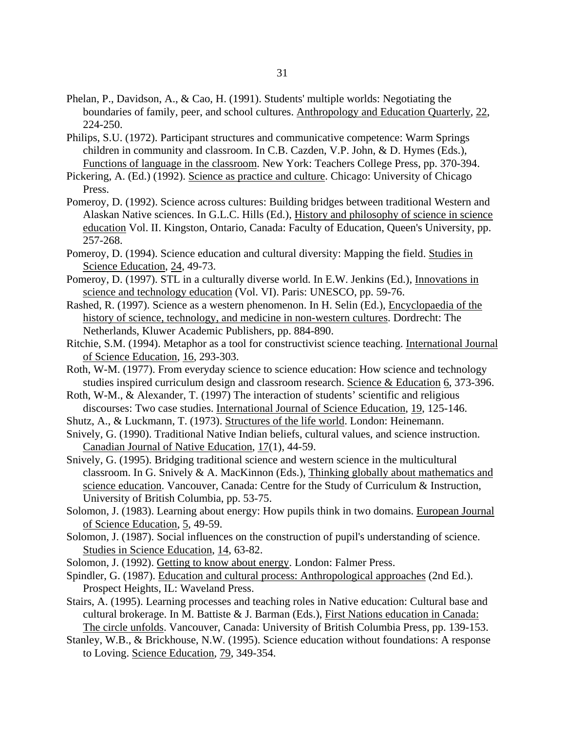- Phelan, P., Davidson, A., & Cao, H. (1991). Students' multiple worlds: Negotiating the boundaries of family, peer, and school cultures. Anthropology and Education Quarterly, 22, 224-250.
- Philips, S.U. (1972). Participant structures and communicative competence: Warm Springs children in community and classroom. In C.B. Cazden, V.P. John, & D. Hymes (Eds.), Functions of language in the classroom. New York: Teachers College Press, pp. 370-394.
- Pickering, A. (Ed.) (1992). Science as practice and culture. Chicago: University of Chicago Press.
- Pomeroy, D. (1992). Science across cultures: Building bridges between traditional Western and Alaskan Native sciences. In G.L.C. Hills (Ed.), History and philosophy of science in science education Vol. II. Kingston, Ontario, Canada: Faculty of Education, Queen's University, pp. 257-268.
- Pomeroy, D. (1994). Science education and cultural diversity: Mapping the field. Studies in Science Education, 24, 49-73.
- Pomeroy, D. (1997). STL in a culturally diverse world. In E.W. Jenkins (Ed.), Innovations in science and technology education (Vol. VI). Paris: UNESCO, pp. 59-76.
- Rashed, R. (1997). Science as a western phenomenon. In H. Selin (Ed.), Encyclopaedia of the history of science, technology, and medicine in non-western cultures. Dordrecht: The Netherlands, Kluwer Academic Publishers, pp. 884-890.
- Ritchie, S.M. (1994). Metaphor as a tool for constructivist science teaching. International Journal of Science Education, 16, 293-303.
- Roth, W-M. (1977). From everyday science to science education: How science and technology studies inspired curriculum design and classroom research. Science & Education 6, 373-396.
- Roth, W-M., & Alexander, T. (1997) The interaction of students' scientific and religious discourses: Two case studies. International Journal of Science Education, 19, 125-146.
- Shutz, A., & Luckmann, T. (1973). Structures of the life world. London: Heinemann.
- Snively, G. (1990). Traditional Native Indian beliefs, cultural values, and science instruction. Canadian Journal of Native Education, 17(1), 44-59.
- Snively, G. (1995). Bridging traditional science and western science in the multicultural classroom. In G. Snively & A. MacKinnon (Eds.), Thinking globally about mathematics and science education. Vancouver, Canada: Centre for the Study of Curriculum & Instruction, University of British Columbia, pp. 53-75.
- Solomon, J. (1983). Learning about energy: How pupils think in two domains. European Journal of Science Education, 5, 49-59.
- Solomon, J. (1987). Social influences on the construction of pupil's understanding of science. Studies in Science Education, 14, 63-82.
- Solomon, J. (1992). Getting to know about energy. London: Falmer Press.
- Spindler, G. (1987). Education and cultural process: Anthropological approaches (2nd Ed.). Prospect Heights, IL: Waveland Press.
- Stairs, A. (1995). Learning processes and teaching roles in Native education: Cultural base and cultural brokerage. In M. Battiste & J. Barman (Eds.), First Nations education in Canada: The circle unfolds. Vancouver, Canada: University of British Columbia Press, pp. 139-153.
- Stanley, W.B., & Brickhouse, N.W. (1995). Science education without foundations: A response to Loving. Science Education, 79, 349-354.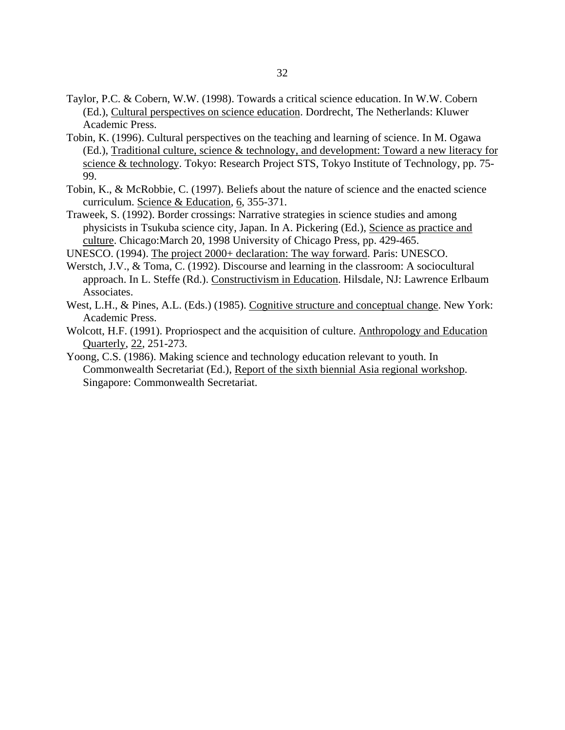- Taylor, P.C. & Cobern, W.W. (1998). Towards a critical science education. In W.W. Cobern (Ed.), Cultural perspectives on science education. Dordrecht, The Netherlands: Kluwer Academic Press.
- Tobin, K. (1996). Cultural perspectives on the teaching and learning of science. In M. Ogawa (Ed.), Traditional culture, science & technology, and development: Toward a new literacy for science & technology. Tokyo: Research Project STS, Tokyo Institute of Technology, pp. 75- 99.
- Tobin, K., & McRobbie, C. (1997). Beliefs about the nature of science and the enacted science curriculum. Science & Education, 6, 355-371.
- Traweek, S. (1992). Border crossings: Narrative strategies in science studies and among physicists in Tsukuba science city, Japan. In A. Pickering (Ed.), Science as practice and culture. Chicago:March 20, 1998 University of Chicago Press, pp. 429-465.
- UNESCO. (1994). The project 2000+ declaration: The way forward. Paris: UNESCO.
- Werstch, J.V., & Toma, C. (1992). Discourse and learning in the classroom: A sociocultural approach. In L. Steffe (Rd.). Constructivism in Education. Hilsdale, NJ: Lawrence Erlbaum Associates.
- West, L.H., & Pines, A.L. (Eds.) (1985). Cognitive structure and conceptual change. New York: Academic Press.
- Wolcott, H.F. (1991). Propriospect and the acquisition of culture. Anthropology and Education Quarterly, 22, 251-273.
- Yoong, C.S. (1986). Making science and technology education relevant to youth. In Commonwealth Secretariat (Ed.), Report of the sixth biennial Asia regional workshop. Singapore: Commonwealth Secretariat.